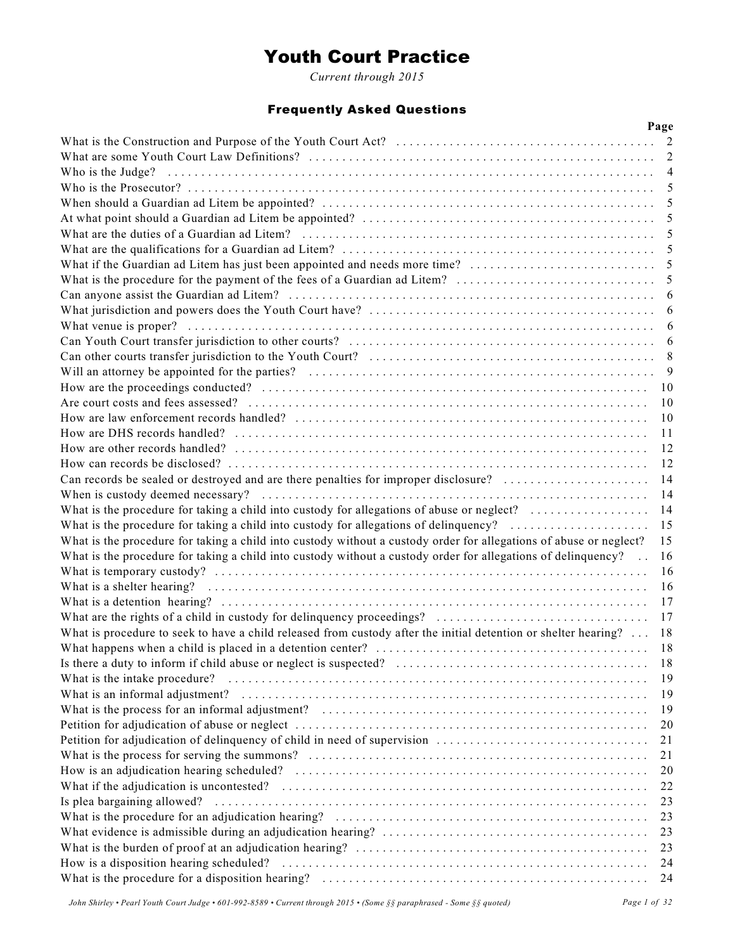# **Youth Court Practice**

*Current through 2015*

# Frequently Asked Questions

|                                                                                                                             | Page           |
|-----------------------------------------------------------------------------------------------------------------------------|----------------|
|                                                                                                                             | 2              |
|                                                                                                                             |                |
|                                                                                                                             | $\overline{4}$ |
|                                                                                                                             | 5              |
|                                                                                                                             | 5              |
|                                                                                                                             | 5              |
|                                                                                                                             |                |
|                                                                                                                             |                |
|                                                                                                                             |                |
|                                                                                                                             |                |
|                                                                                                                             | 6              |
|                                                                                                                             | 6              |
|                                                                                                                             | 6              |
|                                                                                                                             |                |
|                                                                                                                             |                |
|                                                                                                                             |                |
|                                                                                                                             | 10             |
|                                                                                                                             | 10             |
|                                                                                                                             | 10             |
|                                                                                                                             | 11             |
|                                                                                                                             | 12             |
|                                                                                                                             | 12             |
| Can records be sealed or destroyed and are there penalties for improper disclosure?                                         | 14             |
|                                                                                                                             | 14             |
| What is the procedure for taking a child into custody for allegations of abuse or neglect? $\dots\dots\dots\dots\dots\dots$ | 14             |
|                                                                                                                             | 15             |
| What is the procedure for taking a child into custody without a custody order for allegations of abuse or neglect?          | 15             |
| What is the procedure for taking a child into custody without a custody order for allegations of delinquency?               | 16             |
|                                                                                                                             | 16             |
|                                                                                                                             | 16             |
|                                                                                                                             | 17             |
|                                                                                                                             | 17             |
| What is procedure to seek to have a child released from custody after the initial detention or shelter hearing?             | 18             |
|                                                                                                                             | 18             |
|                                                                                                                             | 18             |
|                                                                                                                             | -19            |
|                                                                                                                             | 19             |
|                                                                                                                             | 19             |
|                                                                                                                             | 20             |
| Petition for adjudication of delinquency of child in need of supervision                                                    | 21             |
|                                                                                                                             | 21             |
|                                                                                                                             | 20             |
|                                                                                                                             | 22             |
|                                                                                                                             | 23             |
|                                                                                                                             | 23             |
|                                                                                                                             | 23             |
|                                                                                                                             | 23             |
|                                                                                                                             | 24             |
|                                                                                                                             | 24             |
|                                                                                                                             |                |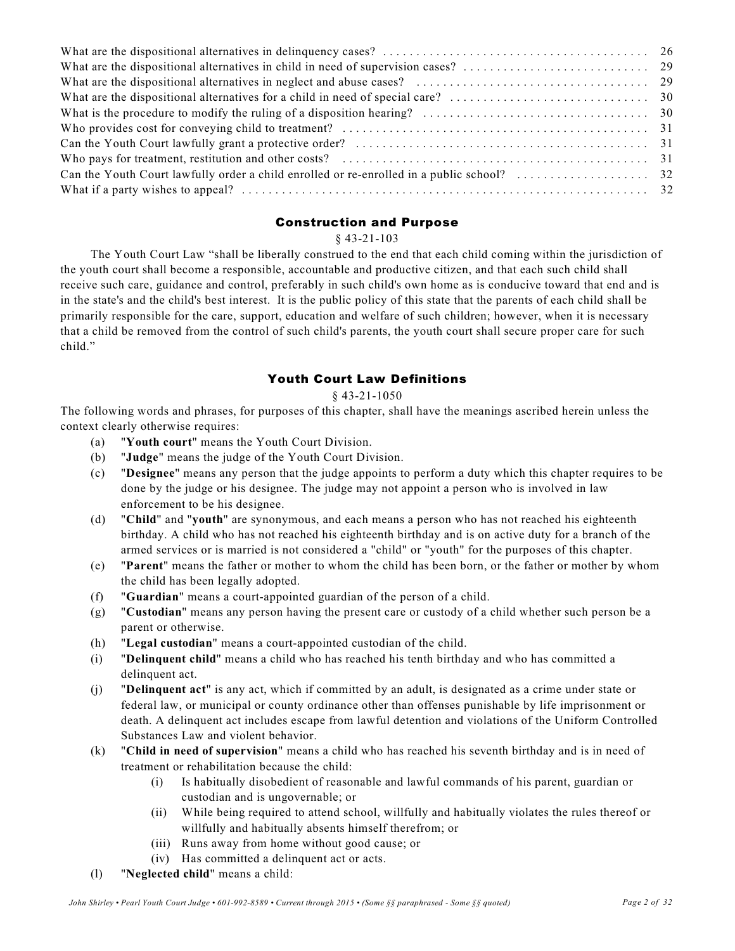## **Construction and Purpose**

#### § 43-21-103

The Youth Court Law "shall be liberally construed to the end that each child coming within the jurisdiction of the youth court shall become a responsible, accountable and productive citizen, and that each such child shall receive such care, guidance and control, preferably in such child's own home as is conducive toward that end and is in the state's and the child's best interest. It is the public policy of this state that the parents of each child shall be primarily responsible for the care, support, education and welfare of such children; however, when it is necessary that a child be removed from the control of such child's parents, the youth court shall secure proper care for such child."

## Youth Court Law Definitions

#### § 43-21-1050

The following words and phrases, for purposes of this chapter, shall have the meanings ascribed herein unless the context clearly otherwise requires:

- (a) "**Youth court**" means the Youth Court Division.
- (b) "**Judge**" means the judge of the Youth Court Division.
- (c) "**Designee**" means any person that the judge appoints to perform a duty which this chapter requires to be done by the judge or his designee. The judge may not appoint a person who is involved in law enforcement to be his designee.
- (d) "**Child**" and "**youth**" are synonymous, and each means a person who has not reached his eighteenth birthday. A child who has not reached his eighteenth birthday and is on active duty for a branch of the armed services or is married is not considered a "child" or "youth" for the purposes of this chapter.
- (e) "**Parent**" means the father or mother to whom the child has been born, or the father or mother by whom the child has been legally adopted.
- (f) "**Guardian**" means a court-appointed guardian of the person of a child.
- (g) "**Custodian**" means any person having the present care or custody of a child whether such person be a parent or otherwise.
- (h) "**Legal custodian**" means a court-appointed custodian of the child.
- (i) "**Delinquent child**" means a child who has reached his tenth birthday and who has committed a delinquent act.
- (j) "**Delinquent act**" is any act, which if committed by an adult, is designated as a crime under state or federal law, or municipal or county ordinance other than offenses punishable by life imprisonment or death. A delinquent act includes escape from lawful detention and violations of the Uniform Controlled Substances Law and violent behavior.
- (k) "**Child in need of supervision**" means a child who has reached his seventh birthday and is in need of treatment or rehabilitation because the child:
	- (i) Is habitually disobedient of reasonable and lawful commands of his parent, guardian or custodian and is ungovernable; or
	- (ii) While being required to attend school, willfully and habitually violates the rules thereof or willfully and habitually absents himself therefrom; or
	- (iii) Runs away from home without good cause; or
	- (iv) Has committed a delinquent act or acts.
- (l) "**Neglected child**" means a child: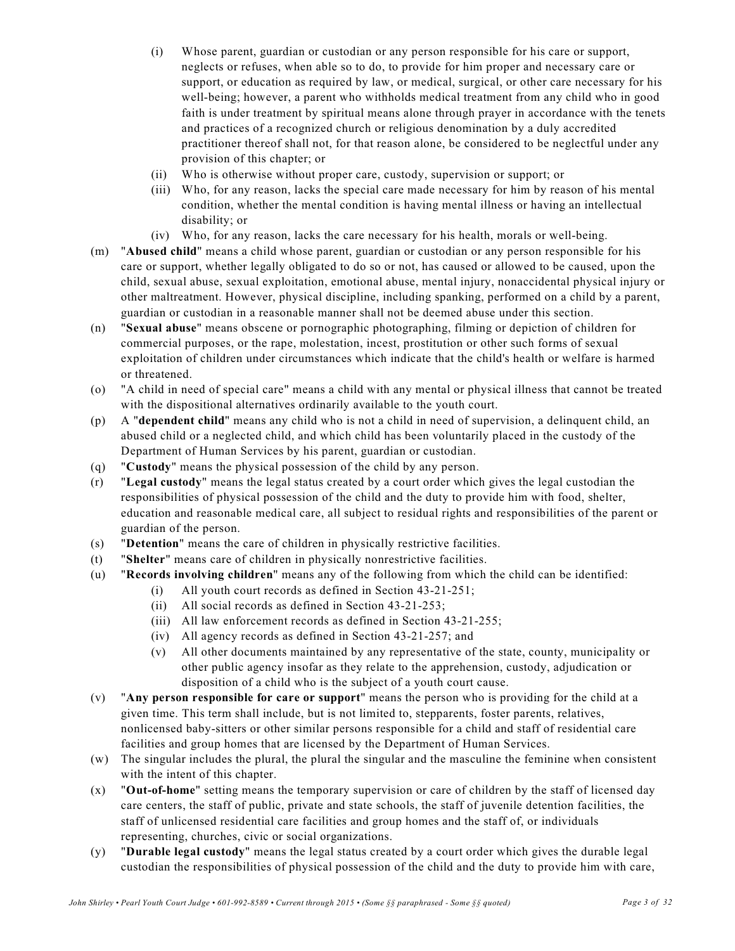- (i) Whose parent, guardian or custodian or any person responsible for his care or support, neglects or refuses, when able so to do, to provide for him proper and necessary care or support, or education as required by law, or medical, surgical, or other care necessary for his well-being; however, a parent who withholds medical treatment from any child who in good faith is under treatment by spiritual means alone through prayer in accordance with the tenets and practices of a recognized church or religious denomination by a duly accredited practitioner thereof shall not, for that reason alone, be considered to be neglectful under any provision of this chapter; or
- (ii) Who is otherwise without proper care, custody, supervision or support; or
- (iii) Who, for any reason, lacks the special care made necessary for him by reason of his mental condition, whether the mental condition is having mental illness or having an intellectual disability; or
- (iv) Who, for any reason, lacks the care necessary for his health, morals or well-being.
- (m) "**Abused child**" means a child whose parent, guardian or custodian or any person responsible for his care or support, whether legally obligated to do so or not, has caused or allowed to be caused, upon the child, sexual abuse, sexual exploitation, emotional abuse, mental injury, nonaccidental physical injury or other maltreatment. However, physical discipline, including spanking, performed on a child by a parent, guardian or custodian in a reasonable manner shall not be deemed abuse under this section.
- (n) "**Sexual abuse**" means obscene or pornographic photographing, filming or depiction of children for commercial purposes, or the rape, molestation, incest, prostitution or other such forms of sexual exploitation of children under circumstances which indicate that the child's health or welfare is harmed or threatened.
- (o) "A child in need of special care" means a child with any mental or physical illness that cannot be treated with the dispositional alternatives ordinarily available to the youth court.
- (p) A "**dependent child**" means any child who is not a child in need of supervision, a delinquent child, an abused child or a neglected child, and which child has been voluntarily placed in the custody of the Department of Human Services by his parent, guardian or custodian.
- (q) "**Custody**" means the physical possession of the child by any person.
- (r) "**Legal custody**" means the legal status created by a court order which gives the legal custodian the responsibilities of physical possession of the child and the duty to provide him with food, shelter, education and reasonable medical care, all subject to residual rights and responsibilities of the parent or guardian of the person.
- (s) "**Detention**" means the care of children in physically restrictive facilities.
- (t) "**Shelter**" means care of children in physically nonrestrictive facilities.
- (u) "**Records involving children**" means any of the following from which the child can be identified:
	- (i) All youth court records as defined in Section 43-21-251;
	- (ii) All social records as defined in Section 43-21-253;
	- (iii) All law enforcement records as defined in Section 43-21-255;
	- (iv) All agency records as defined in Section 43-21-257; and
	- (v) All other documents maintained by any representative of the state, county, municipality or other public agency insofar as they relate to the apprehension, custody, adjudication or disposition of a child who is the subject of a youth court cause.
- (v) "**Any person responsible for care or support**" means the person who is providing for the child at a given time. This term shall include, but is not limited to, stepparents, foster parents, relatives, nonlicensed baby-sitters or other similar persons responsible for a child and staff of residential care facilities and group homes that are licensed by the Department of Human Services.
- (w) The singular includes the plural, the plural the singular and the masculine the feminine when consistent with the intent of this chapter.
- (x) "**Out-of-home**" setting means the temporary supervision or care of children by the staff of licensed day care centers, the staff of public, private and state schools, the staff of juvenile detention facilities, the staff of unlicensed residential care facilities and group homes and the staff of, or individuals representing, churches, civic or social organizations.
- (y) "**Durable legal custody**" means the legal status created by a court order which gives the durable legal custodian the responsibilities of physical possession of the child and the duty to provide him with care,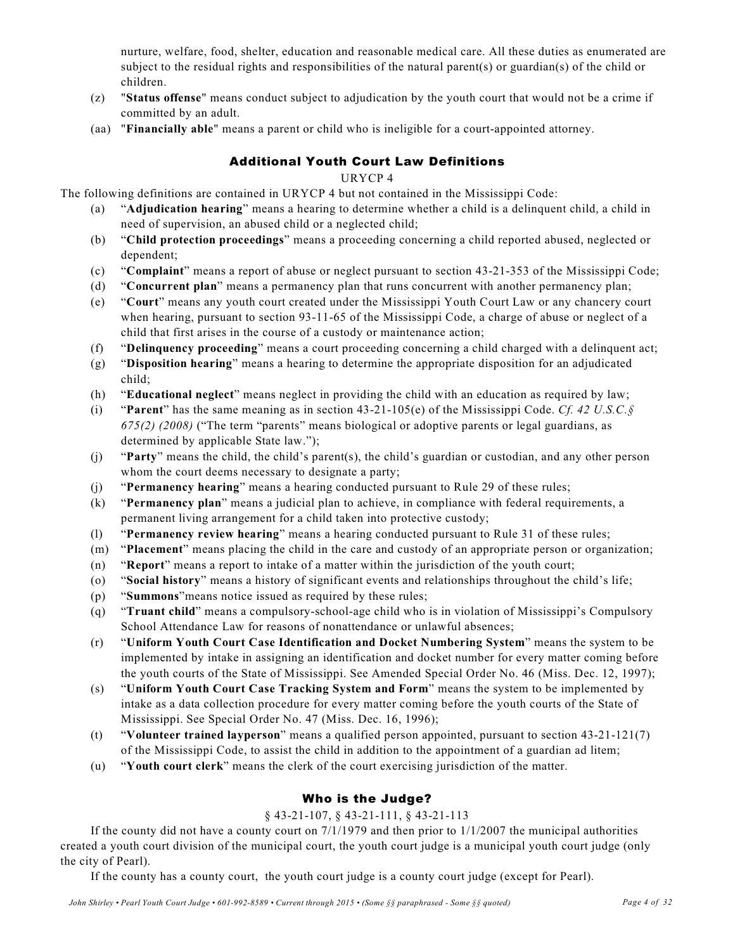nurture, welfare, food, shelter, education and reasonable medical care. All these duties as enumerated are subject to the residual rights and responsibilities of the natural parent(s) or guardian(s) of the child or children.

- (z) "**Status offense**" means conduct subject to adjudication by the youth court that would not be a crime if committed by an adult.
- (aa) "**Financially able**" means a parent or child who is ineligible for a court-appointed attorney.

## Additional Youth Court Law Definitions

## URYCP 4

The following definitions are contained in URYCP 4 but not contained in the Mississippi Code:

- (a) "**Adjudication hearing**" means a hearing to determine whether a child is a delinquent child, a child in need of supervision, an abused child or a neglected child;
- (b) "**Child protection proceedings**" means a proceeding concerning a child reported abused, neglected or dependent;
- (c) "**Complaint**" means a report of abuse or neglect pursuant to section 43-21-353 of the Mississippi Code;
- (d) "**Concurrent plan**" means a permanency plan that runs concurrent with another permanency plan;
- (e) "**Court**" means any youth court created under the Mississippi Youth Court Law or any chancery court when hearing, pursuant to section 93-11-65 of the Mississippi Code, a charge of abuse or neglect of a child that first arises in the course of a custody or maintenance action;
- (f) "**Delinquency proceeding**" means a court proceeding concerning a child charged with a delinquent act;
- (g) "**Disposition hearing**" means a hearing to determine the appropriate disposition for an adjudicated child;
- (h) "**Educational neglect**" means neglect in providing the child with an education as required by law;
- (i) "**Parent**" has the same meaning as in section 43-21-105(e) of the Mississippi Code. *Cf. 42 U.S.C.§ 675(2) (2008)* ("The term "parents" means biological or adoptive parents or legal guardians, as determined by applicable State law.");
- (j) "**Party**" means the child, the child's parent(s), the child's guardian or custodian, and any other person whom the court deems necessary to designate a party;
- (j) "**Permanency hearing**" means a hearing conducted pursuant to Rule 29 of these rules;
- (k) "**Permanency plan**" means a judicial plan to achieve, in compliance with federal requirements, a permanent living arrangement for a child taken into protective custody;
- (l) "**Permanency review hearing**" means a hearing conducted pursuant to Rule 31 of these rules;
- (m) "**Placement**" means placing the child in the care and custody of an appropriate person or organization;
- (n) "**Report**" means a report to intake of a matter within the jurisdiction of the youth court;
- (o) "**Social history**" means a history of significant events and relationships throughout the child's life;
- (p) "**Summons**"means notice issued as required by these rules;
- (q) "**Truant child**" means a compulsory-school-age child who is in violation of Mississippi's Compulsory School Attendance Law for reasons of nonattendance or unlawful absences;
- (r) "**Uniform Youth Court Case Identification and Docket Numbering System**" means the system to be implemented by intake in assigning an identification and docket number for every matter coming before the youth courts of the State of Mississippi. See Amended Special Order No. 46 (Miss. Dec. 12, 1997);
- (s) "**Uniform Youth Court Case Tracking System and Form**" means the system to be implemented by intake as a data collection procedure for every matter coming before the youth courts of the State of Mississippi. See Special Order No. 47 (Miss. Dec. 16, 1996);
- (t) "**Volunteer trained layperson**" means a qualified person appointed, pursuant to section 43-21-121(7) of the Mississippi Code, to assist the child in addition to the appointment of a guardian ad litem;
- (u) "**Youth court clerk**" means the clerk of the court exercising jurisdiction of the matter.

## **Who is the Judge?**

## § 43-21-107, § 43-21-111, § 43-21-113

If the county did not have a county court on 7/1/1979 and then prior to 1/1/2007 the municipal authorities created a youth court division of the municipal court, the youth court judge is a municipal youth court judge (only the city of Pearl).

If the county has a county court, the youth court judge is a county court judge (except for Pearl).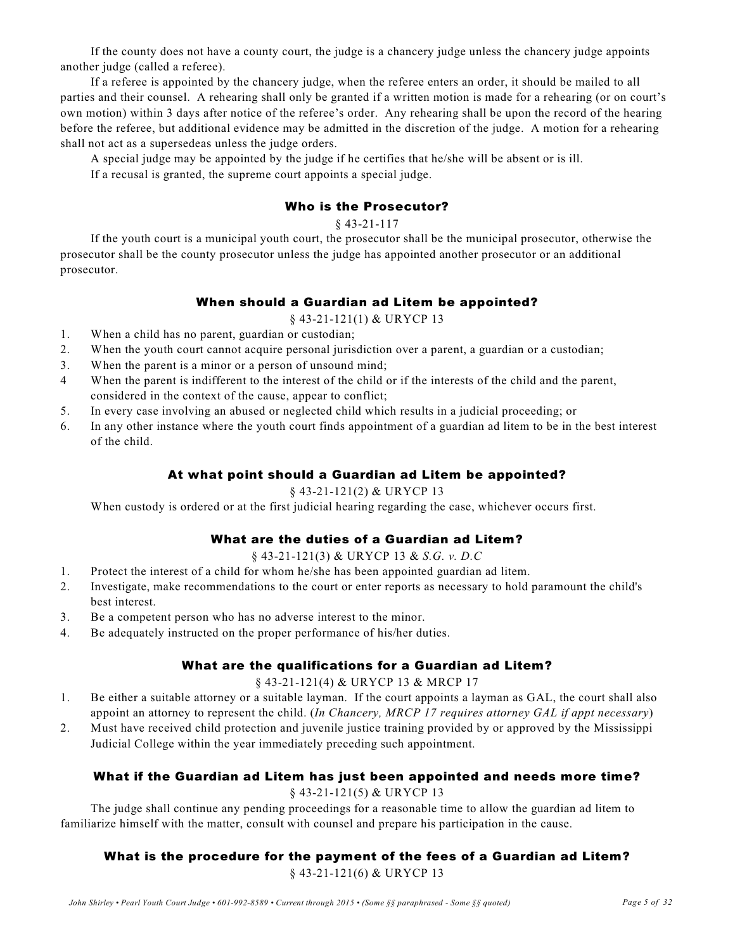If the county does not have a county court, the judge is a chancery judge unless the chancery judge appoints another judge (called a referee).

If a referee is appointed by the chancery judge, when the referee enters an order, it should be mailed to all parties and their counsel. A rehearing shall only be granted if a written motion is made for a rehearing (or on court's own motion) within 3 days after notice of the referee's order. Any rehearing shall be upon the record of the hearing before the referee, but additional evidence may be admitted in the discretion of the judge. A motion for a rehearing shall not act as a supersedeas unless the judge orders.

A special judge may be appointed by the judge if he certifies that he/she will be absent or is ill.

If a recusal is granted, the supreme court appoints a special judge.

## **Who is the Prosecutor?**

#### § 43-21-117

If the youth court is a municipal youth court, the prosecutor shall be the municipal prosecutor, otherwise the prosecutor shall be the county prosecutor unless the judge has appointed another prosecutor or an additional prosecutor.

## **When should a Guardian ad Litem be appointed?**

## § 43-21-121(1) & URYCP 13

- 1. When a child has no parent, guardian or custodian;
- 2. When the youth court cannot acquire personal jurisdiction over a parent, a guardian or a custodian;
- 3. When the parent is a minor or a person of unsound mind;
- 4 When the parent is indifferent to the interest of the child or if the interests of the child and the parent, considered in the context of the cause, appear to conflict;
- 5. In every case involving an abused or neglected child which results in a judicial proceeding; or
- 6. In any other instance where the youth court finds appointment of a guardian ad litem to be in the best interest of the child.

## **At what point should a Guardian ad Litem be appointed?**

#### § 43-21-121(2) & URYCP 13

When custody is ordered or at the first judicial hearing regarding the case, whichever occurs first.

## **What are the duties of a Guardian ad Litem?**

## § 43-21-121(3) & URYCP 13 & *S.G. v. D.C*

- 1. Protect the interest of a child for whom he/she has been appointed guardian ad litem.
- 2. Investigate, make recommendations to the court or enter reports as necessary to hold paramount the child's best interest.
- 3. Be a competent person who has no adverse interest to the minor.
- 4. Be adequately instructed on the proper performance of his/her duties.

## **What are the qualifications for a Guardian ad Litem?**

## § 43-21-121(4) & URYCP 13 & MRCP 17

- 1. Be either a suitable attorney or a suitable layman. If the court appoints a layman as GAL, the court shall also appoint an attorney to represent the child. (*In Chancery, MRCP 17 requires attorney GAL if appt necessary*)
- 2. Must have received child protection and juvenile justice training provided by or approved by the Mississippi Judicial College within the year immediately preceding such appointment.

# **What if the Guardian ad Litem has just been appointed and needs more time?**

## § 43-21-121(5) & URYCP 13

The judge shall continue any pending proceedings for a reasonable time to allow the guardian ad litem to familiarize himself with the matter, consult with counsel and prepare his participation in the cause.

# **What is the procedure for the payment of the fees of a Guardian ad Litem?**

§ 43-21-121(6) & URYCP 13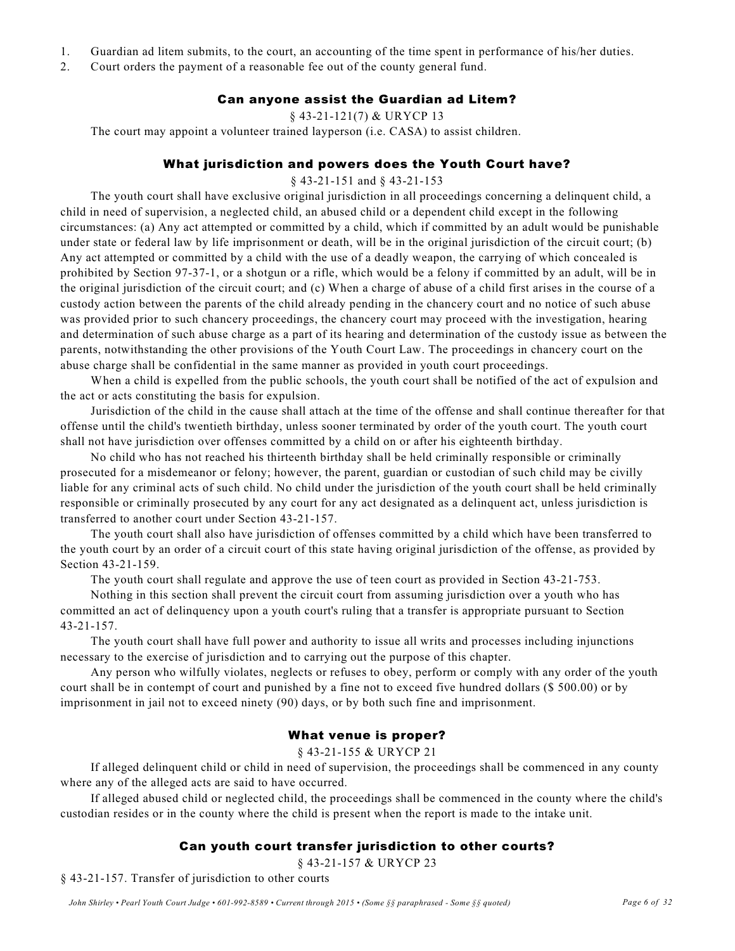- 1. Guardian ad litem submits, to the court, an accounting of the time spent in performance of his/her duties.
- 2. Court orders the payment of a reasonable fee out of the county general fund.

## **Can anyone assist the Guardian ad Litem?**

§ 43-21-121(7) & URYCP 13

The court may appoint a volunteer trained layperson (i.e. CASA) to assist children.

## **What jurisdiction and powers does the Youth Court have?**

§ 43-21-151 and § 43-21-153

The youth court shall have exclusive original jurisdiction in all proceedings concerning a delinquent child, a child in need of supervision, a neglected child, an abused child or a dependent child except in the following circumstances: (a) Any act attempted or committed by a child, which if committed by an adult would be punishable under state or federal law by life imprisonment or death, will be in the original jurisdiction of the circuit court; (b) Any act attempted or committed by a child with the use of a deadly weapon, the carrying of which concealed is prohibited by Section 97-37-1, or a shotgun or a rifle, which would be a felony if committed by an adult, will be in the original jurisdiction of the circuit court; and (c) When a charge of abuse of a child first arises in the course of a custody action between the parents of the child already pending in the chancery court and no notice of such abuse was provided prior to such chancery proceedings, the chancery court may proceed with the investigation, hearing and determination of such abuse charge as a part of its hearing and determination of the custody issue as between the parents, notwithstanding the other provisions of the Youth Court Law. The proceedings in chancery court on the abuse charge shall be confidential in the same manner as provided in youth court proceedings.

When a child is expelled from the public schools, the youth court shall be notified of the act of expulsion and the act or acts constituting the basis for expulsion.

Jurisdiction of the child in the cause shall attach at the time of the offense and shall continue thereafter for that offense until the child's twentieth birthday, unless sooner terminated by order of the youth court. The youth court shall not have jurisdiction over offenses committed by a child on or after his eighteenth birthday.

No child who has not reached his thirteenth birthday shall be held criminally responsible or criminally prosecuted for a misdemeanor or felony; however, the parent, guardian or custodian of such child may be civilly liable for any criminal acts of such child. No child under the jurisdiction of the youth court shall be held criminally responsible or criminally prosecuted by any court for any act designated as a delinquent act, unless jurisdiction is transferred to another court under Section 43-21-157.

The youth court shall also have jurisdiction of offenses committed by a child which have been transferred to the youth court by an order of a circuit court of this state having original jurisdiction of the offense, as provided by Section 43-21-159.

The youth court shall regulate and approve the use of teen court as provided in Section 43-21-753.

Nothing in this section shall prevent the circuit court from assuming jurisdiction over a youth who has committed an act of delinquency upon a youth court's ruling that a transfer is appropriate pursuant to Section 43-21-157.

The youth court shall have full power and authority to issue all writs and processes including injunctions necessary to the exercise of jurisdiction and to carrying out the purpose of this chapter.

Any person who wilfully violates, neglects or refuses to obey, perform or comply with any order of the youth court shall be in contempt of court and punished by a fine not to exceed five hundred dollars (\$ 500.00) or by imprisonment in jail not to exceed ninety (90) days, or by both such fine and imprisonment.

## **What venue is proper?**

§ 43-21-155 & URYCP 21

If alleged delinquent child or child in need of supervision, the proceedings shall be commenced in any county where any of the alleged acts are said to have occurred.

If alleged abused child or neglected child, the proceedings shall be commenced in the county where the child's custodian resides or in the county where the child is present when the report is made to the intake unit.

## **Can youth court transfer jurisdiction to other courts?**

§ 43-21-157 & URYCP 23

§ 43-21-157. Transfer of jurisdiction to other courts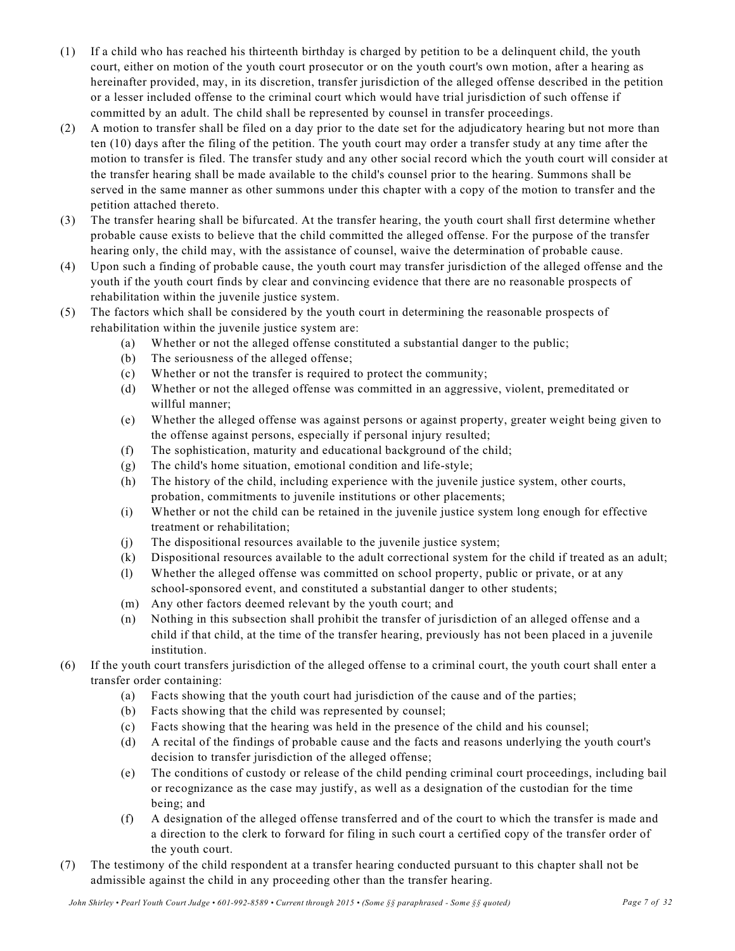- (1) If a child who has reached his thirteenth birthday is charged by petition to be a delinquent child, the youth court, either on motion of the youth court prosecutor or on the youth court's own motion, after a hearing as hereinafter provided, may, in its discretion, transfer jurisdiction of the alleged offense described in the petition or a lesser included offense to the criminal court which would have trial jurisdiction of such offense if committed by an adult. The child shall be represented by counsel in transfer proceedings.
- (2) A motion to transfer shall be filed on a day prior to the date set for the adjudicatory hearing but not more than ten (10) days after the filing of the petition. The youth court may order a transfer study at any time after the motion to transfer is filed. The transfer study and any other social record which the youth court will consider at the transfer hearing shall be made available to the child's counsel prior to the hearing. Summons shall be served in the same manner as other summons under this chapter with a copy of the motion to transfer and the petition attached thereto.
- (3) The transfer hearing shall be bifurcated. At the transfer hearing, the youth court shall first determine whether probable cause exists to believe that the child committed the alleged offense. For the purpose of the transfer hearing only, the child may, with the assistance of counsel, waive the determination of probable cause.
- (4) Upon such a finding of probable cause, the youth court may transfer jurisdiction of the alleged offense and the youth if the youth court finds by clear and convincing evidence that there are no reasonable prospects of rehabilitation within the juvenile justice system.
- (5) The factors which shall be considered by the youth court in determining the reasonable prospects of rehabilitation within the juvenile justice system are:
	- (a) Whether or not the alleged offense constituted a substantial danger to the public;
	- (b) The seriousness of the alleged offense;
	- (c) Whether or not the transfer is required to protect the community;
	- (d) Whether or not the alleged offense was committed in an aggressive, violent, premeditated or willful manner;
	- (e) Whether the alleged offense was against persons or against property, greater weight being given to the offense against persons, especially if personal injury resulted;
	- (f) The sophistication, maturity and educational background of the child;
	- (g) The child's home situation, emotional condition and life-style;
	- (h) The history of the child, including experience with the juvenile justice system, other courts, probation, commitments to juvenile institutions or other placements;
	- (i) Whether or not the child can be retained in the juvenile justice system long enough for effective treatment or rehabilitation;
	- (j) The dispositional resources available to the juvenile justice system;
	- (k) Dispositional resources available to the adult correctional system for the child if treated as an adult;
	- (l) Whether the alleged offense was committed on school property, public or private, or at any school-sponsored event, and constituted a substantial danger to other students;
	- (m) Any other factors deemed relevant by the youth court; and
	- (n) Nothing in this subsection shall prohibit the transfer of jurisdiction of an alleged offense and a child if that child, at the time of the transfer hearing, previously has not been placed in a juvenile institution.
- (6) If the youth court transfers jurisdiction of the alleged offense to a criminal court, the youth court shall enter a transfer order containing:
	- (a) Facts showing that the youth court had jurisdiction of the cause and of the parties;
	- (b) Facts showing that the child was represented by counsel;
	- (c) Facts showing that the hearing was held in the presence of the child and his counsel;
	- (d) A recital of the findings of probable cause and the facts and reasons underlying the youth court's decision to transfer jurisdiction of the alleged offense;
	- (e) The conditions of custody or release of the child pending criminal court proceedings, including bail or recognizance as the case may justify, as well as a designation of the custodian for the time being; and
	- (f) A designation of the alleged offense transferred and of the court to which the transfer is made and a direction to the clerk to forward for filing in such court a certified copy of the transfer order of the youth court.
- (7) The testimony of the child respondent at a transfer hearing conducted pursuant to this chapter shall not be admissible against the child in any proceeding other than the transfer hearing.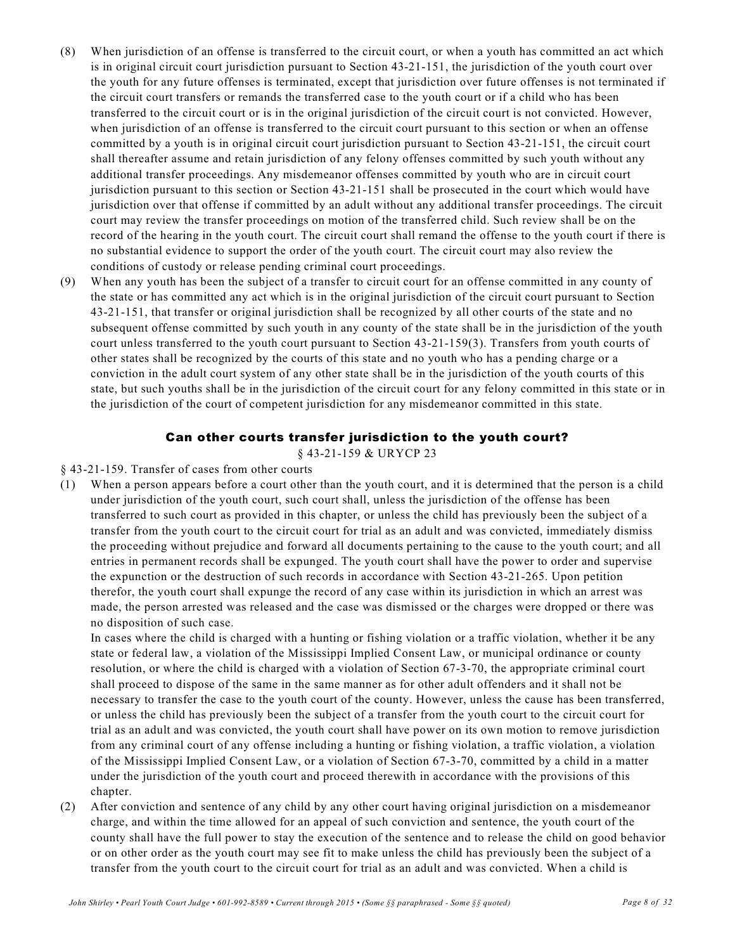- (8) When jurisdiction of an offense is transferred to the circuit court, or when a youth has committed an act which is in original circuit court jurisdiction pursuant to Section 43-21-151, the jurisdiction of the youth court over the youth for any future offenses is terminated, except that jurisdiction over future offenses is not terminated if the circuit court transfers or remands the transferred case to the youth court or if a child who has been transferred to the circuit court or is in the original jurisdiction of the circuit court is not convicted. However, when jurisdiction of an offense is transferred to the circuit court pursuant to this section or when an offense committed by a youth is in original circuit court jurisdiction pursuant to Section 43-21-151, the circuit court shall thereafter assume and retain jurisdiction of any felony offenses committed by such youth without any additional transfer proceedings. Any misdemeanor offenses committed by youth who are in circuit court jurisdiction pursuant to this section or Section 43-21-151 shall be prosecuted in the court which would have jurisdiction over that offense if committed by an adult without any additional transfer proceedings. The circuit court may review the transfer proceedings on motion of the transferred child. Such review shall be on the record of the hearing in the youth court. The circuit court shall remand the offense to the youth court if there is no substantial evidence to support the order of the youth court. The circuit court may also review the conditions of custody or release pending criminal court proceedings.
- (9) When any youth has been the subject of a transfer to circuit court for an offense committed in any county of the state or has committed any act which is in the original jurisdiction of the circuit court pursuant to Section 43-21-151, that transfer or original jurisdiction shall be recognized by all other courts of the state and no subsequent offense committed by such youth in any county of the state shall be in the jurisdiction of the youth court unless transferred to the youth court pursuant to Section 43-21-159(3). Transfers from youth courts of other states shall be recognized by the courts of this state and no youth who has a pending charge or a conviction in the adult court system of any other state shall be in the jurisdiction of the youth courts of this state, but such youths shall be in the jurisdiction of the circuit court for any felony committed in this state or in the jurisdiction of the court of competent jurisdiction for any misdemeanor committed in this state.

#### **Can other courts transfer jurisdiction to the youth court?**

§ 43-21-159 & URYCP 23

## § 43-21-159. Transfer of cases from other courts

(1) When a person appears before a court other than the youth court, and it is determined that the person is a child under jurisdiction of the youth court, such court shall, unless the jurisdiction of the offense has been transferred to such court as provided in this chapter, or unless the child has previously been the subject of a transfer from the youth court to the circuit court for trial as an adult and was convicted, immediately dismiss the proceeding without prejudice and forward all documents pertaining to the cause to the youth court; and all entries in permanent records shall be expunged. The youth court shall have the power to order and supervise the expunction or the destruction of such records in accordance with Section 43-21-265. Upon petition therefor, the youth court shall expunge the record of any case within its jurisdiction in which an arrest was made, the person arrested was released and the case was dismissed or the charges were dropped or there was no disposition of such case.

In cases where the child is charged with a hunting or fishing violation or a traffic violation, whether it be any state or federal law, a violation of the Mississippi Implied Consent Law, or municipal ordinance or county resolution, or where the child is charged with a violation of Section 67-3-70, the appropriate criminal court shall proceed to dispose of the same in the same manner as for other adult offenders and it shall not be necessary to transfer the case to the youth court of the county. However, unless the cause has been transferred, or unless the child has previously been the subject of a transfer from the youth court to the circuit court for trial as an adult and was convicted, the youth court shall have power on its own motion to remove jurisdiction from any criminal court of any offense including a hunting or fishing violation, a traffic violation, a violation of the Mississippi Implied Consent Law, or a violation of Section 67-3-70, committed by a child in a matter under the jurisdiction of the youth court and proceed therewith in accordance with the provisions of this chapter.

(2) After conviction and sentence of any child by any other court having original jurisdiction on a misdemeanor charge, and within the time allowed for an appeal of such conviction and sentence, the youth court of the county shall have the full power to stay the execution of the sentence and to release the child on good behavior or on other order as the youth court may see fit to make unless the child has previously been the subject of a transfer from the youth court to the circuit court for trial as an adult and was convicted. When a child is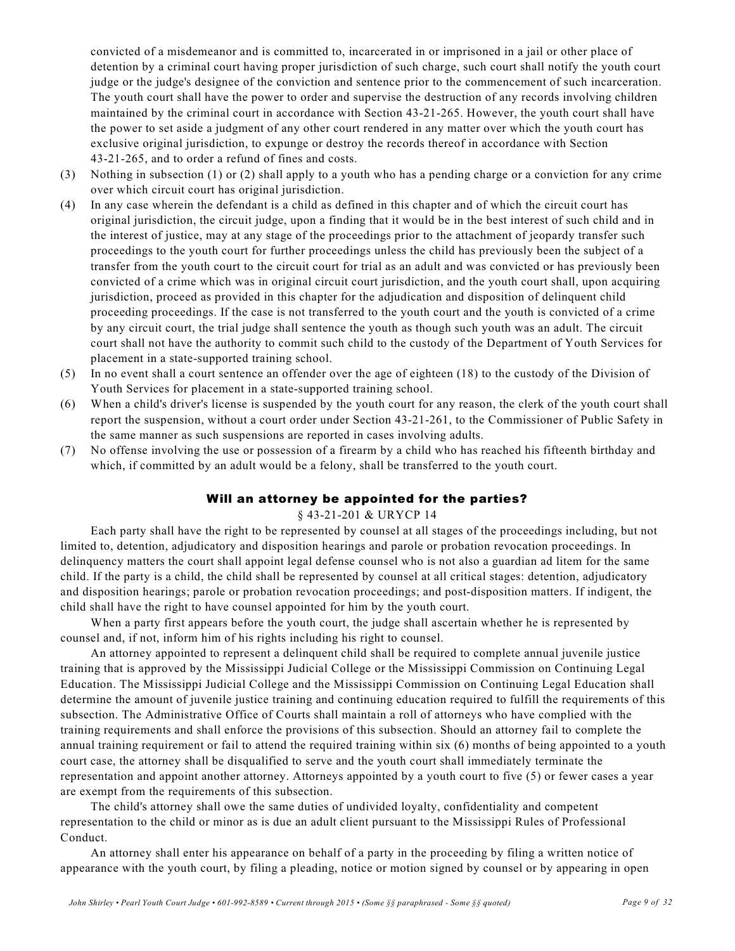convicted of a misdemeanor and is committed to, incarcerated in or imprisoned in a jail or other place of detention by a criminal court having proper jurisdiction of such charge, such court shall notify the youth court judge or the judge's designee of the conviction and sentence prior to the commencement of such incarceration. The youth court shall have the power to order and supervise the destruction of any records involving children maintained by the criminal court in accordance with Section 43-21-265. However, the youth court shall have the power to set aside a judgment of any other court rendered in any matter over which the youth court has exclusive original jurisdiction, to expunge or destroy the records thereof in accordance with Section 43-21-265, and to order a refund of fines and costs.

- (3) Nothing in subsection (1) or (2) shall apply to a youth who has a pending charge or a conviction for any crime over which circuit court has original jurisdiction.
- (4) In any case wherein the defendant is a child as defined in this chapter and of which the circuit court has original jurisdiction, the circuit judge, upon a finding that it would be in the best interest of such child and in the interest of justice, may at any stage of the proceedings prior to the attachment of jeopardy transfer such proceedings to the youth court for further proceedings unless the child has previously been the subject of a transfer from the youth court to the circuit court for trial as an adult and was convicted or has previously been convicted of a crime which was in original circuit court jurisdiction, and the youth court shall, upon acquiring jurisdiction, proceed as provided in this chapter for the adjudication and disposition of delinquent child proceeding proceedings. If the case is not transferred to the youth court and the youth is convicted of a crime by any circuit court, the trial judge shall sentence the youth as though such youth was an adult. The circuit court shall not have the authority to commit such child to the custody of the Department of Youth Services for placement in a state-supported training school.
- (5) In no event shall a court sentence an offender over the age of eighteen (18) to the custody of the Division of Youth Services for placement in a state-supported training school.
- (6) When a child's driver's license is suspended by the youth court for any reason, the clerk of the youth court shall report the suspension, without a court order under Section 43-21-261, to the Commissioner of Public Safety in the same manner as such suspensions are reported in cases involving adults.
- (7) No offense involving the use or possession of a firearm by a child who has reached his fifteenth birthday and which, if committed by an adult would be a felony, shall be transferred to the youth court.

#### **Will an attorney be appointed for the parties?**

## § 43-21-201 & URYCP 14

Each party shall have the right to be represented by counsel at all stages of the proceedings including, but not limited to, detention, adjudicatory and disposition hearings and parole or probation revocation proceedings. In delinquency matters the court shall appoint legal defense counsel who is not also a guardian ad litem for the same child. If the party is a child, the child shall be represented by counsel at all critical stages: detention, adjudicatory and disposition hearings; parole or probation revocation proceedings; and post-disposition matters. If indigent, the child shall have the right to have counsel appointed for him by the youth court.

When a party first appears before the youth court, the judge shall ascertain whether he is represented by counsel and, if not, inform him of his rights including his right to counsel.

An attorney appointed to represent a delinquent child shall be required to complete annual juvenile justice training that is approved by the Mississippi Judicial College or the Mississippi Commission on Continuing Legal Education. The Mississippi Judicial College and the Mississippi Commission on Continuing Legal Education shall determine the amount of juvenile justice training and continuing education required to fulfill the requirements of this subsection. The Administrative Office of Courts shall maintain a roll of attorneys who have complied with the training requirements and shall enforce the provisions of this subsection. Should an attorney fail to complete the annual training requirement or fail to attend the required training within six (6) months of being appointed to a youth court case, the attorney shall be disqualified to serve and the youth court shall immediately terminate the representation and appoint another attorney. Attorneys appointed by a youth court to five (5) or fewer cases a year are exempt from the requirements of this subsection.

The child's attorney shall owe the same duties of undivided loyalty, confidentiality and competent representation to the child or minor as is due an adult client pursuant to the Mississippi Rules of Professional Conduct.

An attorney shall enter his appearance on behalf of a party in the proceeding by filing a written notice of appearance with the youth court, by filing a pleading, notice or motion signed by counsel or by appearing in open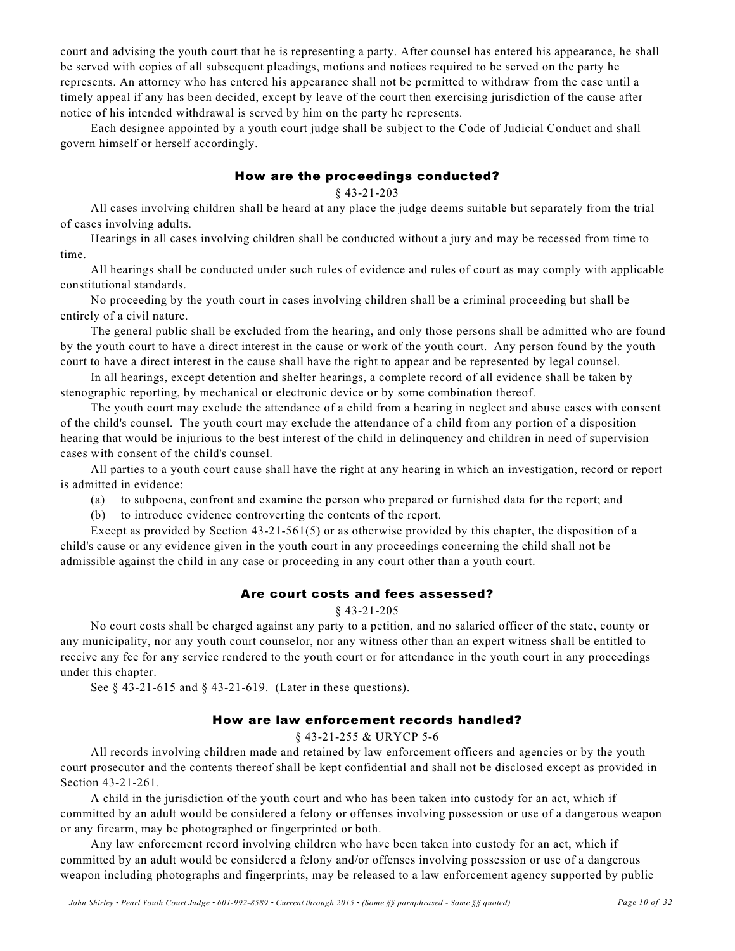court and advising the youth court that he is representing a party. After counsel has entered his appearance, he shall be served with copies of all subsequent pleadings, motions and notices required to be served on the party he represents. An attorney who has entered his appearance shall not be permitted to withdraw from the case until a timely appeal if any has been decided, except by leave of the court then exercising jurisdiction of the cause after notice of his intended withdrawal is served by him on the party he represents.

Each designee appointed by a youth court judge shall be subject to the Code of Judicial Conduct and shall govern himself or herself accordingly.

#### **How are the proceedings conducted?**

§ 43-21-203

All cases involving children shall be heard at any place the judge deems suitable but separately from the trial of cases involving adults.

Hearings in all cases involving children shall be conducted without a jury and may be recessed from time to time.

All hearings shall be conducted under such rules of evidence and rules of court as may comply with applicable constitutional standards.

No proceeding by the youth court in cases involving children shall be a criminal proceeding but shall be entirely of a civil nature.

The general public shall be excluded from the hearing, and only those persons shall be admitted who are found by the youth court to have a direct interest in the cause or work of the youth court. Any person found by the youth court to have a direct interest in the cause shall have the right to appear and be represented by legal counsel.

In all hearings, except detention and shelter hearings, a complete record of all evidence shall be taken by stenographic reporting, by mechanical or electronic device or by some combination thereof.

The youth court may exclude the attendance of a child from a hearing in neglect and abuse cases with consent of the child's counsel. The youth court may exclude the attendance of a child from any portion of a disposition hearing that would be injurious to the best interest of the child in delinquency and children in need of supervision cases with consent of the child's counsel.

All parties to a youth court cause shall have the right at any hearing in which an investigation, record or report is admitted in evidence:

(a) to subpoena, confront and examine the person who prepared or furnished data for the report; and

(b) to introduce evidence controverting the contents of the report.

Except as provided by Section 43-21-561(5) or as otherwise provided by this chapter, the disposition of a child's cause or any evidence given in the youth court in any proceedings concerning the child shall not be admissible against the child in any case or proceeding in any court other than a youth court.

## **Are court costs and fees assessed?**

#### § 43-21-205

No court costs shall be charged against any party to a petition, and no salaried officer of the state, county or any municipality, nor any youth court counselor, nor any witness other than an expert witness shall be entitled to receive any fee for any service rendered to the youth court or for attendance in the youth court in any proceedings under this chapter.

See § 43-21-615 and § 43-21-619. (Later in these questions).

#### **How are law enforcement records handled?**

#### § 43-21-255 & URYCP 5-6

All records involving children made and retained by law enforcement officers and agencies or by the youth court prosecutor and the contents thereof shall be kept confidential and shall not be disclosed except as provided in Section 43-21-261.

A child in the jurisdiction of the youth court and who has been taken into custody for an act, which if committed by an adult would be considered a felony or offenses involving possession or use of a dangerous weapon or any firearm, may be photographed or fingerprinted or both.

Any law enforcement record involving children who have been taken into custody for an act, which if committed by an adult would be considered a felony and/or offenses involving possession or use of a dangerous weapon including photographs and fingerprints, may be released to a law enforcement agency supported by public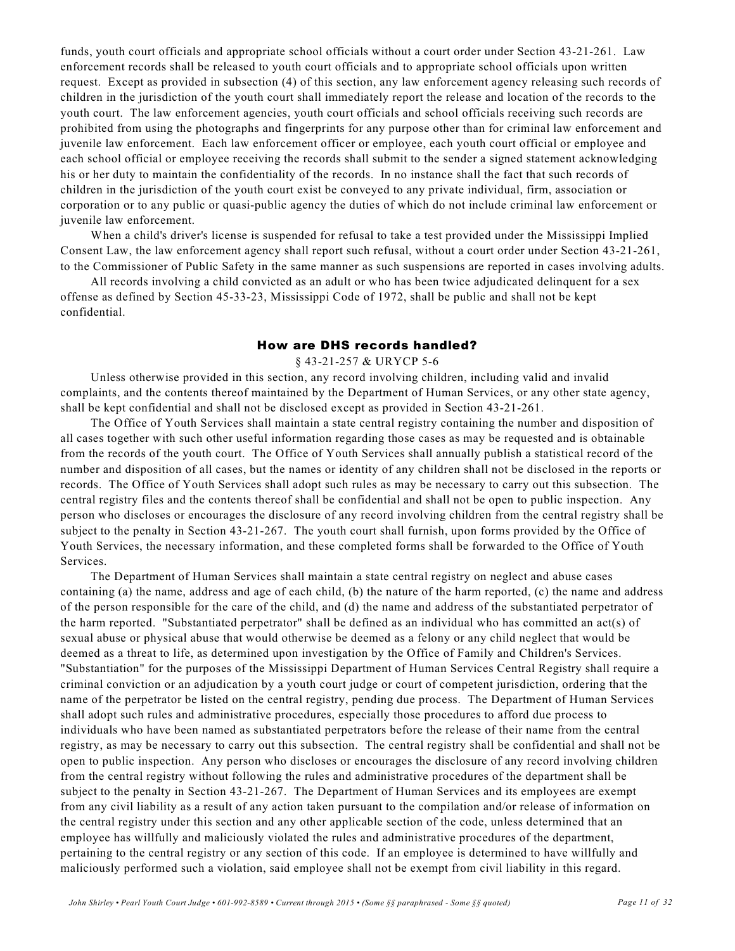funds, youth court officials and appropriate school officials without a court order under Section 43-21-261. Law enforcement records shall be released to youth court officials and to appropriate school officials upon written request. Except as provided in subsection (4) of this section, any law enforcement agency releasing such records of children in the jurisdiction of the youth court shall immediately report the release and location of the records to the youth court. The law enforcement agencies, youth court officials and school officials receiving such records are prohibited from using the photographs and fingerprints for any purpose other than for criminal law enforcement and juvenile law enforcement. Each law enforcement officer or employee, each youth court official or employee and each school official or employee receiving the records shall submit to the sender a signed statement acknowledging his or her duty to maintain the confidentiality of the records. In no instance shall the fact that such records of children in the jurisdiction of the youth court exist be conveyed to any private individual, firm, association or corporation or to any public or quasi-public agency the duties of which do not include criminal law enforcement or juvenile law enforcement.

When a child's driver's license is suspended for refusal to take a test provided under the Mississippi Implied Consent Law, the law enforcement agency shall report such refusal, without a court order under Section 43-21-261, to the Commissioner of Public Safety in the same manner as such suspensions are reported in cases involving adults.

All records involving a child convicted as an adult or who has been twice adjudicated delinquent for a sex offense as defined by Section 45-33-23, Mississippi Code of 1972, shall be public and shall not be kept confidential.

#### **How are DHS records handled?**

#### § 43-21-257 & URYCP 5-6

Unless otherwise provided in this section, any record involving children, including valid and invalid complaints, and the contents thereof maintained by the Department of Human Services, or any other state agency, shall be kept confidential and shall not be disclosed except as provided in Section 43-21-261.

The Office of Youth Services shall maintain a state central registry containing the number and disposition of all cases together with such other useful information regarding those cases as may be requested and is obtainable from the records of the youth court. The Office of Youth Services shall annually publish a statistical record of the number and disposition of all cases, but the names or identity of any children shall not be disclosed in the reports or records. The Office of Youth Services shall adopt such rules as may be necessary to carry out this subsection. The central registry files and the contents thereof shall be confidential and shall not be open to public inspection. Any person who discloses or encourages the disclosure of any record involving children from the central registry shall be subject to the penalty in Section 43-21-267. The youth court shall furnish, upon forms provided by the Office of Youth Services, the necessary information, and these completed forms shall be forwarded to the Office of Youth Services.

The Department of Human Services shall maintain a state central registry on neglect and abuse cases containing (a) the name, address and age of each child, (b) the nature of the harm reported, (c) the name and address of the person responsible for the care of the child, and (d) the name and address of the substantiated perpetrator of the harm reported. "Substantiated perpetrator" shall be defined as an individual who has committed an act(s) of sexual abuse or physical abuse that would otherwise be deemed as a felony or any child neglect that would be deemed as a threat to life, as determined upon investigation by the Office of Family and Children's Services. "Substantiation" for the purposes of the Mississippi Department of Human Services Central Registry shall require a criminal conviction or an adjudication by a youth court judge or court of competent jurisdiction, ordering that the name of the perpetrator be listed on the central registry, pending due process. The Department of Human Services shall adopt such rules and administrative procedures, especially those procedures to afford due process to individuals who have been named as substantiated perpetrators before the release of their name from the central registry, as may be necessary to carry out this subsection. The central registry shall be confidential and shall not be open to public inspection. Any person who discloses or encourages the disclosure of any record involving children from the central registry without following the rules and administrative procedures of the department shall be subject to the penalty in Section 43-21-267. The Department of Human Services and its employees are exempt from any civil liability as a result of any action taken pursuant to the compilation and/or release of information on the central registry under this section and any other applicable section of the code, unless determined that an employee has willfully and maliciously violated the rules and administrative procedures of the department, pertaining to the central registry or any section of this code. If an employee is determined to have willfully and maliciously performed such a violation, said employee shall not be exempt from civil liability in this regard.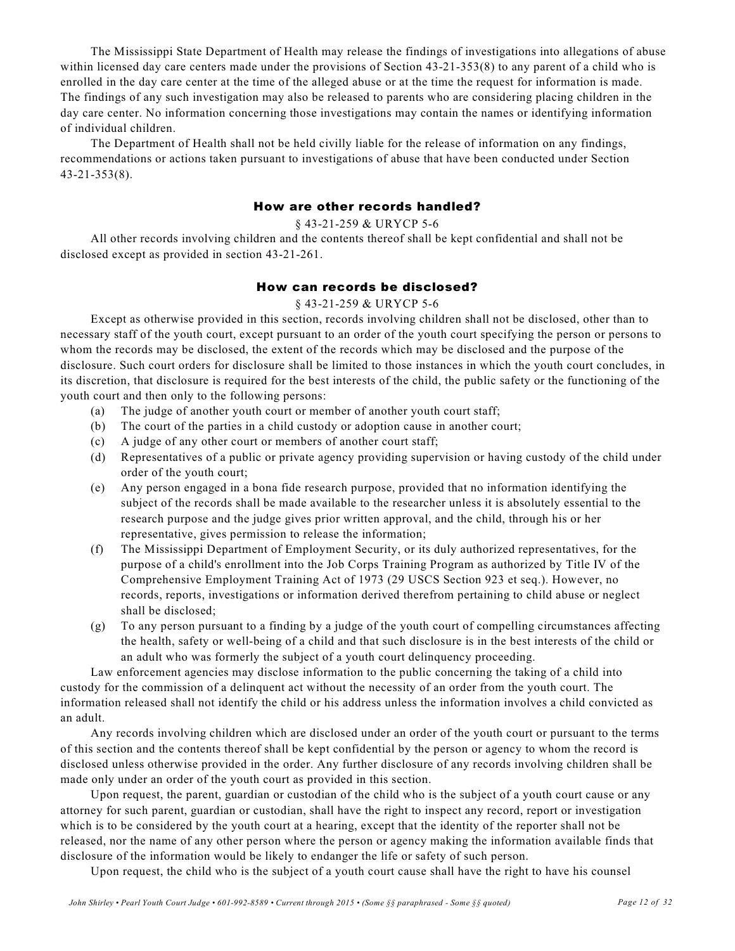The Mississippi State Department of Health may release the findings of investigations into allegations of abuse within licensed day care centers made under the provisions of Section 43-21-353(8) to any parent of a child who is enrolled in the day care center at the time of the alleged abuse or at the time the request for information is made. The findings of any such investigation may also be released to parents who are considering placing children in the day care center. No information concerning those investigations may contain the names or identifying information of individual children.

The Department of Health shall not be held civilly liable for the release of information on any findings, recommendations or actions taken pursuant to investigations of abuse that have been conducted under Section 43-21-353(8).

#### **How are other records handled?**

#### § 43-21-259 & URYCP 5-6

All other records involving children and the contents thereof shall be kept confidential and shall not be disclosed except as provided in section 43-21-261.

#### **How can records be disclosed?**

#### § 43-21-259 & URYCP 5-6

Except as otherwise provided in this section, records involving children shall not be disclosed, other than to necessary staff of the youth court, except pursuant to an order of the youth court specifying the person or persons to whom the records may be disclosed, the extent of the records which may be disclosed and the purpose of the disclosure. Such court orders for disclosure shall be limited to those instances in which the youth court concludes, in its discretion, that disclosure is required for the best interests of the child, the public safety or the functioning of the youth court and then only to the following persons:

- (a) The judge of another youth court or member of another youth court staff;
- (b) The court of the parties in a child custody or adoption cause in another court;
- (c) A judge of any other court or members of another court staff;
- (d) Representatives of a public or private agency providing supervision or having custody of the child under order of the youth court;
- (e) Any person engaged in a bona fide research purpose, provided that no information identifying the subject of the records shall be made available to the researcher unless it is absolutely essential to the research purpose and the judge gives prior written approval, and the child, through his or her representative, gives permission to release the information;
- (f) The Mississippi Department of Employment Security, or its duly authorized representatives, for the purpose of a child's enrollment into the Job Corps Training Program as authorized by Title IV of the Comprehensive Employment Training Act of 1973 (29 USCS Section 923 et seq.). However, no records, reports, investigations or information derived therefrom pertaining to child abuse or neglect shall be disclosed;
- (g) To any person pursuant to a finding by a judge of the youth court of compelling circumstances affecting the health, safety or well-being of a child and that such disclosure is in the best interests of the child or an adult who was formerly the subject of a youth court delinquency proceeding.

Law enforcement agencies may disclose information to the public concerning the taking of a child into custody for the commission of a delinquent act without the necessity of an order from the youth court. The information released shall not identify the child or his address unless the information involves a child convicted as an adult.

Any records involving children which are disclosed under an order of the youth court or pursuant to the terms of this section and the contents thereof shall be kept confidential by the person or agency to whom the record is disclosed unless otherwise provided in the order. Any further disclosure of any records involving children shall be made only under an order of the youth court as provided in this section.

Upon request, the parent, guardian or custodian of the child who is the subject of a youth court cause or any attorney for such parent, guardian or custodian, shall have the right to inspect any record, report or investigation which is to be considered by the youth court at a hearing, except that the identity of the reporter shall not be released, nor the name of any other person where the person or agency making the information available finds that disclosure of the information would be likely to endanger the life or safety of such person.

Upon request, the child who is the subject of a youth court cause shall have the right to have his counsel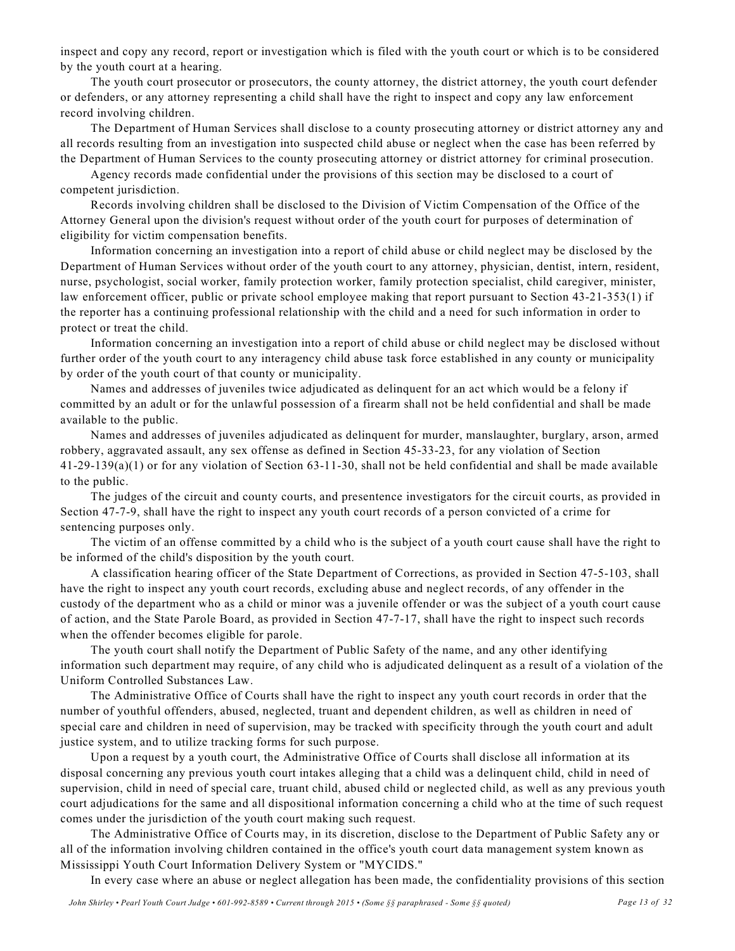inspect and copy any record, report or investigation which is filed with the youth court or which is to be considered by the youth court at a hearing.

The youth court prosecutor or prosecutors, the county attorney, the district attorney, the youth court defender or defenders, or any attorney representing a child shall have the right to inspect and copy any law enforcement record involving children.

The Department of Human Services shall disclose to a county prosecuting attorney or district attorney any and all records resulting from an investigation into suspected child abuse or neglect when the case has been referred by the Department of Human Services to the county prosecuting attorney or district attorney for criminal prosecution.

Agency records made confidential under the provisions of this section may be disclosed to a court of competent jurisdiction.

Records involving children shall be disclosed to the Division of Victim Compensation of the Office of the Attorney General upon the division's request without order of the youth court for purposes of determination of eligibility for victim compensation benefits.

Information concerning an investigation into a report of child abuse or child neglect may be disclosed by the Department of Human Services without order of the youth court to any attorney, physician, dentist, intern, resident, nurse, psychologist, social worker, family protection worker, family protection specialist, child caregiver, minister, law enforcement officer, public or private school employee making that report pursuant to Section 43-21-353(1) if the reporter has a continuing professional relationship with the child and a need for such information in order to protect or treat the child.

Information concerning an investigation into a report of child abuse or child neglect may be disclosed without further order of the youth court to any interagency child abuse task force established in any county or municipality by order of the youth court of that county or municipality.

Names and addresses of juveniles twice adjudicated as delinquent for an act which would be a felony if committed by an adult or for the unlawful possession of a firearm shall not be held confidential and shall be made available to the public.

Names and addresses of juveniles adjudicated as delinquent for murder, manslaughter, burglary, arson, armed robbery, aggravated assault, any sex offense as defined in Section 45-33-23, for any violation of Section 41-29-139(a)(1) or for any violation of Section 63-11-30, shall not be held confidential and shall be made available to the public.

The judges of the circuit and county courts, and presentence investigators for the circuit courts, as provided in Section 47-7-9, shall have the right to inspect any youth court records of a person convicted of a crime for sentencing purposes only.

The victim of an offense committed by a child who is the subject of a youth court cause shall have the right to be informed of the child's disposition by the youth court.

A classification hearing officer of the State Department of Corrections, as provided in Section 47-5-103, shall have the right to inspect any youth court records, excluding abuse and neglect records, of any offender in the custody of the department who as a child or minor was a juvenile offender or was the subject of a youth court cause of action, and the State Parole Board, as provided in Section 47-7-17, shall have the right to inspect such records when the offender becomes eligible for parole.

The youth court shall notify the Department of Public Safety of the name, and any other identifying information such department may require, of any child who is adjudicated delinquent as a result of a violation of the Uniform Controlled Substances Law.

The Administrative Office of Courts shall have the right to inspect any youth court records in order that the number of youthful offenders, abused, neglected, truant and dependent children, as well as children in need of special care and children in need of supervision, may be tracked with specificity through the youth court and adult justice system, and to utilize tracking forms for such purpose.

Upon a request by a youth court, the Administrative Office of Courts shall disclose all information at its disposal concerning any previous youth court intakes alleging that a child was a delinquent child, child in need of supervision, child in need of special care, truant child, abused child or neglected child, as well as any previous youth court adjudications for the same and all dispositional information concerning a child who at the time of such request comes under the jurisdiction of the youth court making such request.

The Administrative Office of Courts may, in its discretion, disclose to the Department of Public Safety any or all of the information involving children contained in the office's youth court data management system known as Mississippi Youth Court Information Delivery System or "MYCIDS."

In every case where an abuse or neglect allegation has been made, the confidentiality provisions of this section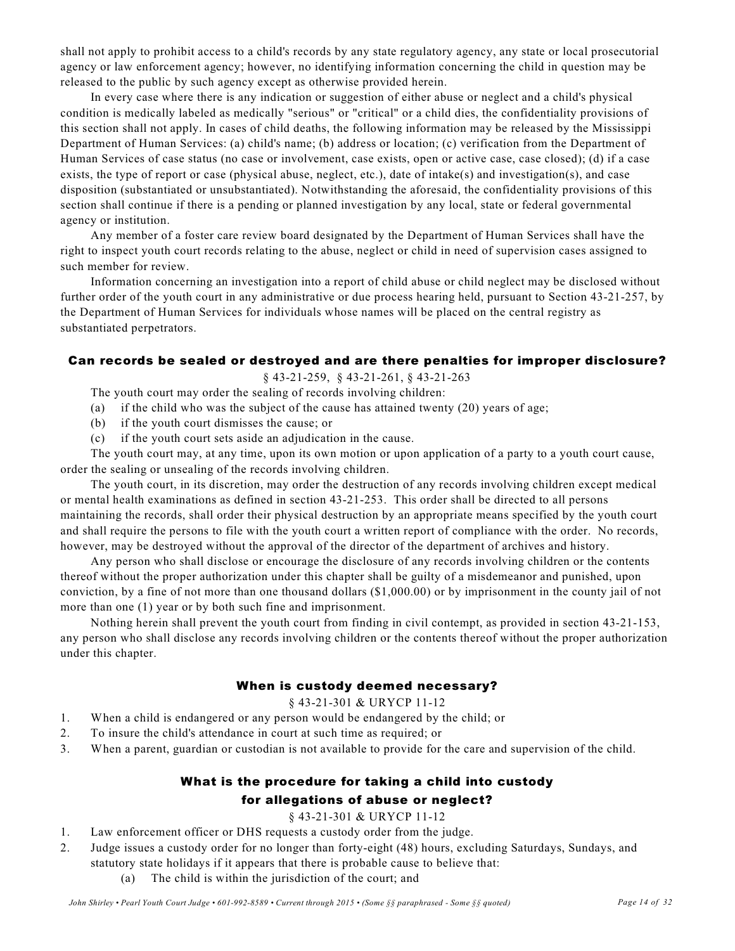shall not apply to prohibit access to a child's records by any state regulatory agency, any state or local prosecutorial agency or law enforcement agency; however, no identifying information concerning the child in question may be released to the public by such agency except as otherwise provided herein.

In every case where there is any indication or suggestion of either abuse or neglect and a child's physical condition is medically labeled as medically "serious" or "critical" or a child dies, the confidentiality provisions of this section shall not apply. In cases of child deaths, the following information may be released by the Mississippi Department of Human Services: (a) child's name; (b) address or location; (c) verification from the Department of Human Services of case status (no case or involvement, case exists, open or active case, case closed); (d) if a case exists, the type of report or case (physical abuse, neglect, etc.), date of intake(s) and investigation(s), and case disposition (substantiated or unsubstantiated). Notwithstanding the aforesaid, the confidentiality provisions of this section shall continue if there is a pending or planned investigation by any local, state or federal governmental agency or institution.

Any member of a foster care review board designated by the Department of Human Services shall have the right to inspect youth court records relating to the abuse, neglect or child in need of supervision cases assigned to such member for review.

Information concerning an investigation into a report of child abuse or child neglect may be disclosed without further order of the youth court in any administrative or due process hearing held, pursuant to Section 43-21-257, by the Department of Human Services for individuals whose names will be placed on the central registry as substantiated perpetrators.

#### **Can records be sealed or destroyed and are there penalties for improper disclosure?**

§ 43-21-259, § 43-21-261, § 43-21-263

- The youth court may order the sealing of records involving children:
- (a) if the child who was the subject of the cause has attained twenty (20) years of age;
- (b) if the youth court dismisses the cause; or
- (c) if the youth court sets aside an adjudication in the cause.

The youth court may, at any time, upon its own motion or upon application of a party to a youth court cause, order the sealing or unsealing of the records involving children.

The youth court, in its discretion, may order the destruction of any records involving children except medical or mental health examinations as defined in section 43-21-253. This order shall be directed to all persons maintaining the records, shall order their physical destruction by an appropriate means specified by the youth court and shall require the persons to file with the youth court a written report of compliance with the order. No records, however, may be destroyed without the approval of the director of the department of archives and history.

Any person who shall disclose or encourage the disclosure of any records involving children or the contents thereof without the proper authorization under this chapter shall be guilty of a misdemeanor and punished, upon conviction, by a fine of not more than one thousand dollars (\$1,000.00) or by imprisonment in the county jail of not more than one (1) year or by both such fine and imprisonment.

Nothing herein shall prevent the youth court from finding in civil contempt, as provided in section 43-21-153, any person who shall disclose any records involving children or the contents thereof without the proper authorization under this chapter.

#### **When is custody deemed necessary?**

§ 43-21-301 & URYCP 11-12

- 1. When a child is endangered or any person would be endangered by the child; or
- 2. To insure the child's attendance in court at such time as required; or
- 3. When a parent, guardian or custodian is not available to provide for the care and supervision of the child.

# **What is the procedure for taking a child into custody for allegations of abuse or neglect?**

#### § 43-21-301 & URYCP 11-12

- 1. Law enforcement officer or DHS requests a custody order from the judge.
- 2. Judge issues a custody order for no longer than forty-eight (48) hours, excluding Saturdays, Sundays, and statutory state holidays if it appears that there is probable cause to believe that:
	- (a) The child is within the jurisdiction of the court; and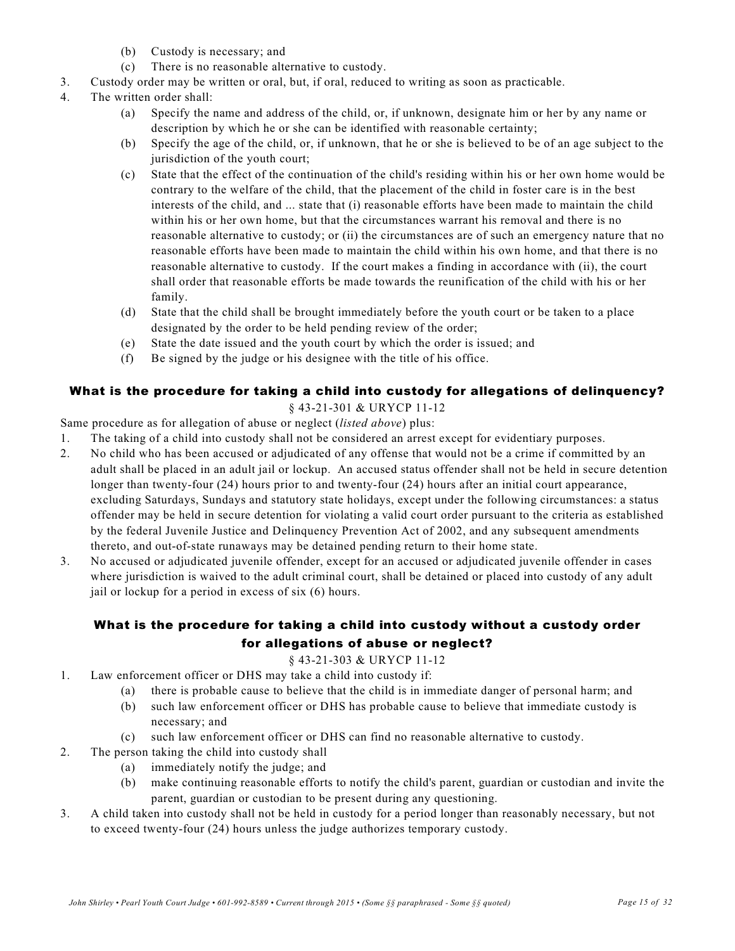- (b) Custody is necessary; and
- (c) There is no reasonable alternative to custody.
- 3. Custody order may be written or oral, but, if oral, reduced to writing as soon as practicable.
- 4. The written order shall:
	- (a) Specify the name and address of the child, or, if unknown, designate him or her by any name or description by which he or she can be identified with reasonable certainty;
	- (b) Specify the age of the child, or, if unknown, that he or she is believed to be of an age subject to the jurisdiction of the youth court;
	- (c) State that the effect of the continuation of the child's residing within his or her own home would be contrary to the welfare of the child, that the placement of the child in foster care is in the best interests of the child, and ... state that (i) reasonable efforts have been made to maintain the child within his or her own home, but that the circumstances warrant his removal and there is no reasonable alternative to custody; or (ii) the circumstances are of such an emergency nature that no reasonable efforts have been made to maintain the child within his own home, and that there is no reasonable alternative to custody. If the court makes a finding in accordance with (ii), the court shall order that reasonable efforts be made towards the reunification of the child with his or her family.
	- (d) State that the child shall be brought immediately before the youth court or be taken to a place designated by the order to be held pending review of the order;
	- (e) State the date issued and the youth court by which the order is issued; and
	- (f) Be signed by the judge or his designee with the title of his office.

# **What is the procedure for taking a child into custody for allegations of delinquency?**

## § 43-21-301 & URYCP 11-12

Same procedure as for allegation of abuse or neglect (*listed above*) plus:

- 1. The taking of a child into custody shall not be considered an arrest except for evidentiary purposes.
- 2. No child who has been accused or adjudicated of any offense that would not be a crime if committed by an adult shall be placed in an adult jail or lockup. An accused status offender shall not be held in secure detention longer than twenty-four (24) hours prior to and twenty-four (24) hours after an initial court appearance, excluding Saturdays, Sundays and statutory state holidays, except under the following circumstances: a status offender may be held in secure detention for violating a valid court order pursuant to the criteria as established by the federal Juvenile Justice and Delinquency Prevention Act of 2002, and any subsequent amendments thereto, and out-of-state runaways may be detained pending return to their home state.
- 3. No accused or adjudicated juvenile offender, except for an accused or adjudicated juvenile offender in cases where jurisdiction is waived to the adult criminal court, shall be detained or placed into custody of any adult jail or lockup for a period in excess of six (6) hours.

# **What is the procedure for taking a child into custody without a custody order for allegations of abuse or neglect?**

§ 43-21-303 & URYCP 11-12

- 1. Law enforcement officer or DHS may take a child into custody if:
	- (a) there is probable cause to believe that the child is in immediate danger of personal harm; and
	- (b) such law enforcement officer or DHS has probable cause to believe that immediate custody is necessary; and
	- (c) such law enforcement officer or DHS can find no reasonable alternative to custody.
- 2. The person taking the child into custody shall
	- (a) immediately notify the judge; and
	- (b) make continuing reasonable efforts to notify the child's parent, guardian or custodian and invite the parent, guardian or custodian to be present during any questioning.
- 3. A child taken into custody shall not be held in custody for a period longer than reasonably necessary, but not to exceed twenty-four (24) hours unless the judge authorizes temporary custody.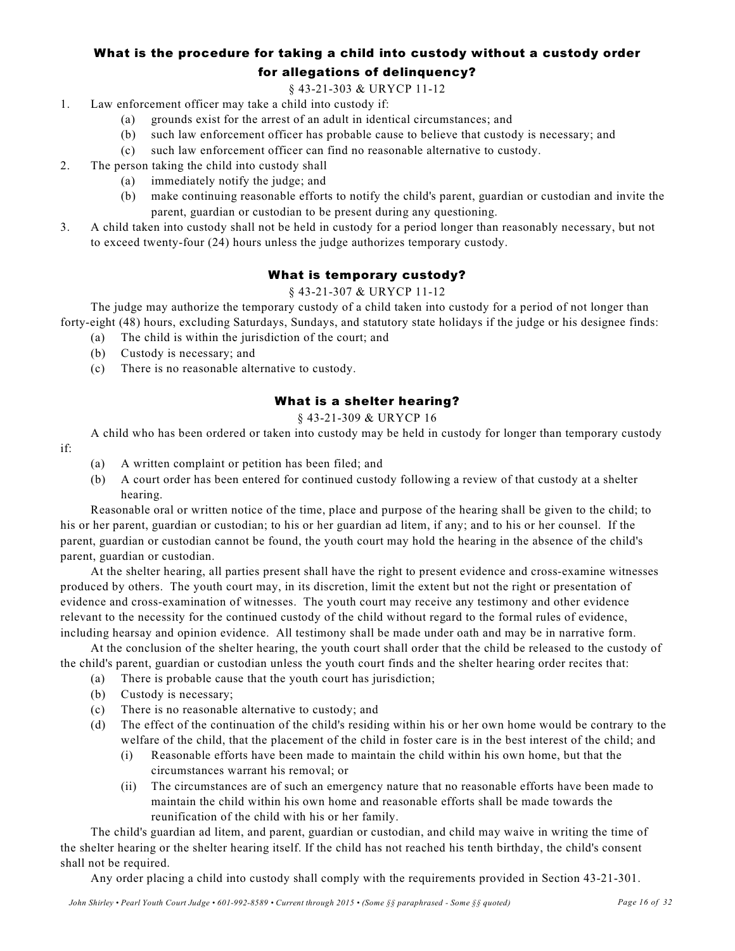# **What is the procedure for taking a child into custody without a custody order for allegations of delinquency?**

§ 43-21-303 & URYCP 11-12

- 1. Law enforcement officer may take a child into custody if:
	- (a) grounds exist for the arrest of an adult in identical circumstances; and
	- (b) such law enforcement officer has probable cause to believe that custody is necessary; and
	- (c) such law enforcement officer can find no reasonable alternative to custody.
- 2. The person taking the child into custody shall
	- (a) immediately notify the judge; and
		- (b) make continuing reasonable efforts to notify the child's parent, guardian or custodian and invite the parent, guardian or custodian to be present during any questioning.
- 3. A child taken into custody shall not be held in custody for a period longer than reasonably necessary, but not to exceed twenty-four (24) hours unless the judge authorizes temporary custody.

## **What is temporary custody?**

#### § 43-21-307 & URYCP 11-12

The judge may authorize the temporary custody of a child taken into custody for a period of not longer than forty-eight (48) hours, excluding Saturdays, Sundays, and statutory state holidays if the judge or his designee finds:

- (a) The child is within the jurisdiction of the court; and
- (b) Custody is necessary; and
- (c) There is no reasonable alternative to custody.

## **What is a shelter hearing?**

## § 43-21-309 & URYCP 16

A child who has been ordered or taken into custody may be held in custody for longer than temporary custody

- if:
- (a) A written complaint or petition has been filed; and
- (b) A court order has been entered for continued custody following a review of that custody at a shelter hearing.

Reasonable oral or written notice of the time, place and purpose of the hearing shall be given to the child; to his or her parent, guardian or custodian; to his or her guardian ad litem, if any; and to his or her counsel. If the parent, guardian or custodian cannot be found, the youth court may hold the hearing in the absence of the child's parent, guardian or custodian.

At the shelter hearing, all parties present shall have the right to present evidence and cross-examine witnesses produced by others. The youth court may, in its discretion, limit the extent but not the right or presentation of evidence and cross-examination of witnesses. The youth court may receive any testimony and other evidence relevant to the necessity for the continued custody of the child without regard to the formal rules of evidence, including hearsay and opinion evidence. All testimony shall be made under oath and may be in narrative form.

At the conclusion of the shelter hearing, the youth court shall order that the child be released to the custody of the child's parent, guardian or custodian unless the youth court finds and the shelter hearing order recites that:

- (a) There is probable cause that the youth court has jurisdiction;
- (b) Custody is necessary;
- (c) There is no reasonable alternative to custody; and
- (d) The effect of the continuation of the child's residing within his or her own home would be contrary to the welfare of the child, that the placement of the child in foster care is in the best interest of the child; and
	- (i) Reasonable efforts have been made to maintain the child within his own home, but that the circumstances warrant his removal; or
	- (ii) The circumstances are of such an emergency nature that no reasonable efforts have been made to maintain the child within his own home and reasonable efforts shall be made towards the reunification of the child with his or her family.

The child's guardian ad litem, and parent, guardian or custodian, and child may waive in writing the time of the shelter hearing or the shelter hearing itself. If the child has not reached his tenth birthday, the child's consent shall not be required.

Any order placing a child into custody shall comply with the requirements provided in Section 43-21-301.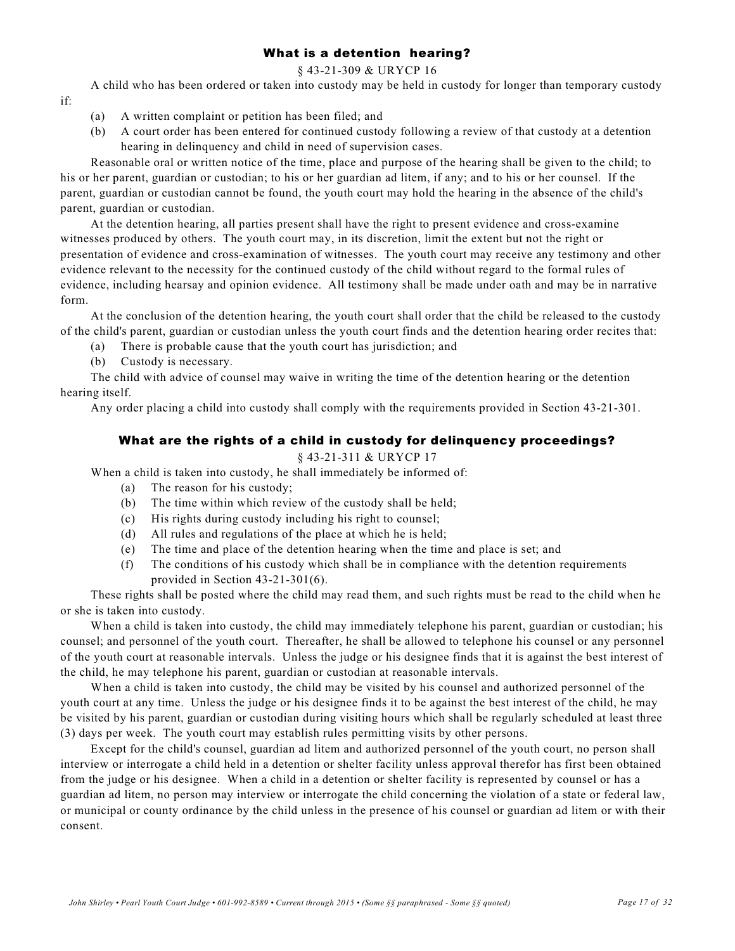## **What is a detention hearing?**

§ 43-21-309 & URYCP 16

A child who has been ordered or taken into custody may be held in custody for longer than temporary custody

if:

- (a) A written complaint or petition has been filed; and
- (b) A court order has been entered for continued custody following a review of that custody at a detention hearing in delinquency and child in need of supervision cases.

Reasonable oral or written notice of the time, place and purpose of the hearing shall be given to the child; to his or her parent, guardian or custodian; to his or her guardian ad litem, if any; and to his or her counsel. If the parent, guardian or custodian cannot be found, the youth court may hold the hearing in the absence of the child's parent, guardian or custodian.

At the detention hearing, all parties present shall have the right to present evidence and cross-examine witnesses produced by others. The youth court may, in its discretion, limit the extent but not the right or presentation of evidence and cross-examination of witnesses. The youth court may receive any testimony and other evidence relevant to the necessity for the continued custody of the child without regard to the formal rules of evidence, including hearsay and opinion evidence. All testimony shall be made under oath and may be in narrative form.

At the conclusion of the detention hearing, the youth court shall order that the child be released to the custody of the child's parent, guardian or custodian unless the youth court finds and the detention hearing order recites that:

(a) There is probable cause that the youth court has jurisdiction; and

(b) Custody is necessary.

The child with advice of counsel may waive in writing the time of the detention hearing or the detention hearing itself.

Any order placing a child into custody shall comply with the requirements provided in Section 43-21-301.

## **What are the rights of a child in custody for delinquency proceedings?**

#### § 43-21-311 & URYCP 17

When a child is taken into custody, he shall immediately be informed of:

- (a) The reason for his custody;
- (b) The time within which review of the custody shall be held;
- (c) His rights during custody including his right to counsel;
- (d) All rules and regulations of the place at which he is held;
- (e) The time and place of the detention hearing when the time and place is set; and
- (f) The conditions of his custody which shall be in compliance with the detention requirements provided in Section 43-21-301(6).

These rights shall be posted where the child may read them, and such rights must be read to the child when he or she is taken into custody.

When a child is taken into custody, the child may immediately telephone his parent, guardian or custodian; his counsel; and personnel of the youth court. Thereafter, he shall be allowed to telephone his counsel or any personnel of the youth court at reasonable intervals. Unless the judge or his designee finds that it is against the best interest of the child, he may telephone his parent, guardian or custodian at reasonable intervals.

When a child is taken into custody, the child may be visited by his counsel and authorized personnel of the youth court at any time. Unless the judge or his designee finds it to be against the best interest of the child, he may be visited by his parent, guardian or custodian during visiting hours which shall be regularly scheduled at least three (3) days per week. The youth court may establish rules permitting visits by other persons.

Except for the child's counsel, guardian ad litem and authorized personnel of the youth court, no person shall interview or interrogate a child held in a detention or shelter facility unless approval therefor has first been obtained from the judge or his designee. When a child in a detention or shelter facility is represented by counsel or has a guardian ad litem, no person may interview or interrogate the child concerning the violation of a state or federal law, or municipal or county ordinance by the child unless in the presence of his counsel or guardian ad litem or with their consent.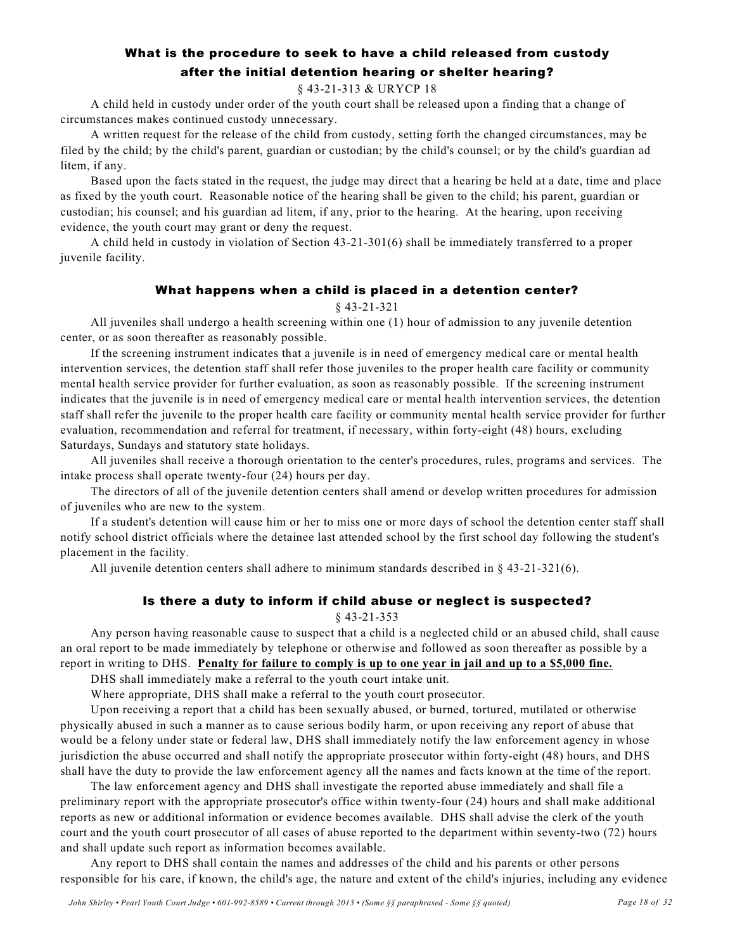# **What is the procedure to seek to have a child released from custody after the initial detention hearing or shelter hearing?**

§ 43-21-313 & URYCP 18

A child held in custody under order of the youth court shall be released upon a finding that a change of circumstances makes continued custody unnecessary.

A written request for the release of the child from custody, setting forth the changed circumstances, may be filed by the child; by the child's parent, guardian or custodian; by the child's counsel; or by the child's guardian ad litem, if any.

Based upon the facts stated in the request, the judge may direct that a hearing be held at a date, time and place as fixed by the youth court. Reasonable notice of the hearing shall be given to the child; his parent, guardian or custodian; his counsel; and his guardian ad litem, if any, prior to the hearing. At the hearing, upon receiving evidence, the youth court may grant or deny the request.

A child held in custody in violation of Section 43-21-301(6) shall be immediately transferred to a proper juvenile facility.

## **What happens when a child is placed in a detention center?**

#### § 43-21-321

All juveniles shall undergo a health screening within one (1) hour of admission to any juvenile detention center, or as soon thereafter as reasonably possible.

If the screening instrument indicates that a juvenile is in need of emergency medical care or mental health intervention services, the detention staff shall refer those juveniles to the proper health care facility or community mental health service provider for further evaluation, as soon as reasonably possible. If the screening instrument indicates that the juvenile is in need of emergency medical care or mental health intervention services, the detention staff shall refer the juvenile to the proper health care facility or community mental health service provider for further evaluation, recommendation and referral for treatment, if necessary, within forty-eight (48) hours, excluding Saturdays, Sundays and statutory state holidays.

All juveniles shall receive a thorough orientation to the center's procedures, rules, programs and services. The intake process shall operate twenty-four (24) hours per day.

The directors of all of the juvenile detention centers shall amend or develop written procedures for admission of juveniles who are new to the system.

If a student's detention will cause him or her to miss one or more days of school the detention center staff shall notify school district officials where the detainee last attended school by the first school day following the student's placement in the facility.

All juvenile detention centers shall adhere to minimum standards described in § 43-21-321(6).

# **Is there a duty to inform if child abuse or neglect is suspected?**

§ 43-21-353

Any person having reasonable cause to suspect that a child is a neglected child or an abused child, shall cause an oral report to be made immediately by telephone or otherwise and followed as soon thereafter as possible by a report in writing to DHS. **Penalty for failure to comply is up to one year in jail and up to a \$5,000 fine.**

DHS shall immediately make a referral to the youth court intake unit.

Where appropriate, DHS shall make a referral to the youth court prosecutor.

Upon receiving a report that a child has been sexually abused, or burned, tortured, mutilated or otherwise physically abused in such a manner as to cause serious bodily harm, or upon receiving any report of abuse that would be a felony under state or federal law, DHS shall immediately notify the law enforcement agency in whose jurisdiction the abuse occurred and shall notify the appropriate prosecutor within forty-eight (48) hours, and DHS shall have the duty to provide the law enforcement agency all the names and facts known at the time of the report.

The law enforcement agency and DHS shall investigate the reported abuse immediately and shall file a preliminary report with the appropriate prosecutor's office within twenty-four (24) hours and shall make additional reports as new or additional information or evidence becomes available. DHS shall advise the clerk of the youth court and the youth court prosecutor of all cases of abuse reported to the department within seventy-two (72) hours and shall update such report as information becomes available.

Any report to DHS shall contain the names and addresses of the child and his parents or other persons responsible for his care, if known, the child's age, the nature and extent of the child's injuries, including any evidence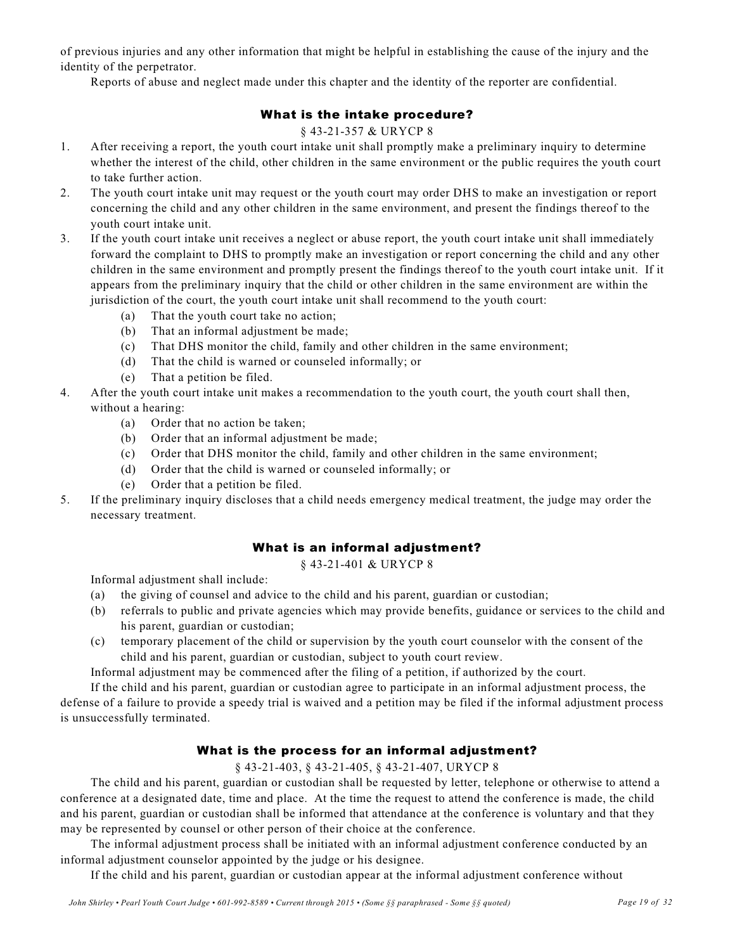of previous injuries and any other information that might be helpful in establishing the cause of the injury and the identity of the perpetrator.

Reports of abuse and neglect made under this chapter and the identity of the reporter are confidential.

## **What is the intake procedure?**

## § 43-21-357 & URYCP 8

- 1. After receiving a report, the youth court intake unit shall promptly make a preliminary inquiry to determine whether the interest of the child, other children in the same environment or the public requires the youth court to take further action.
- 2. The youth court intake unit may request or the youth court may order DHS to make an investigation or report concerning the child and any other children in the same environment, and present the findings thereof to the youth court intake unit.
- 3. If the youth court intake unit receives a neglect or abuse report, the youth court intake unit shall immediately forward the complaint to DHS to promptly make an investigation or report concerning the child and any other children in the same environment and promptly present the findings thereof to the youth court intake unit. If it appears from the preliminary inquiry that the child or other children in the same environment are within the jurisdiction of the court, the youth court intake unit shall recommend to the youth court:
	- (a) That the youth court take no action;
	- (b) That an informal adjustment be made;
	- (c) That DHS monitor the child, family and other children in the same environment;
	- (d) That the child is warned or counseled informally; or
	- (e) That a petition be filed.
- 4. After the youth court intake unit makes a recommendation to the youth court, the youth court shall then, without a hearing:
	- (a) Order that no action be taken;
	- (b) Order that an informal adjustment be made;
	- (c) Order that DHS monitor the child, family and other children in the same environment;
	- (d) Order that the child is warned or counseled informally; or
	- (e) Order that a petition be filed.
- 5. If the preliminary inquiry discloses that a child needs emergency medical treatment, the judge may order the necessary treatment.

## **What is an informal adjustment?**

§ 43-21-401 & URYCP 8

Informal adjustment shall include:

- (a) the giving of counsel and advice to the child and his parent, guardian or custodian;
- (b) referrals to public and private agencies which may provide benefits, guidance or services to the child and his parent, guardian or custodian;
- (c) temporary placement of the child or supervision by the youth court counselor with the consent of the child and his parent, guardian or custodian, subject to youth court review.

Informal adjustment may be commenced after the filing of a petition, if authorized by the court.

If the child and his parent, guardian or custodian agree to participate in an informal adjustment process, the defense of a failure to provide a speedy trial is waived and a petition may be filed if the informal adjustment process is unsuccessfully terminated.

## **What is the process for an informal adjustment?**

§ 43-21-403, § 43-21-405, § 43-21-407, URYCP 8

The child and his parent, guardian or custodian shall be requested by letter, telephone or otherwise to attend a conference at a designated date, time and place. At the time the request to attend the conference is made, the child and his parent, guardian or custodian shall be informed that attendance at the conference is voluntary and that they may be represented by counsel or other person of their choice at the conference.

The informal adjustment process shall be initiated with an informal adjustment conference conducted by an informal adjustment counselor appointed by the judge or his designee.

If the child and his parent, guardian or custodian appear at the informal adjustment conference without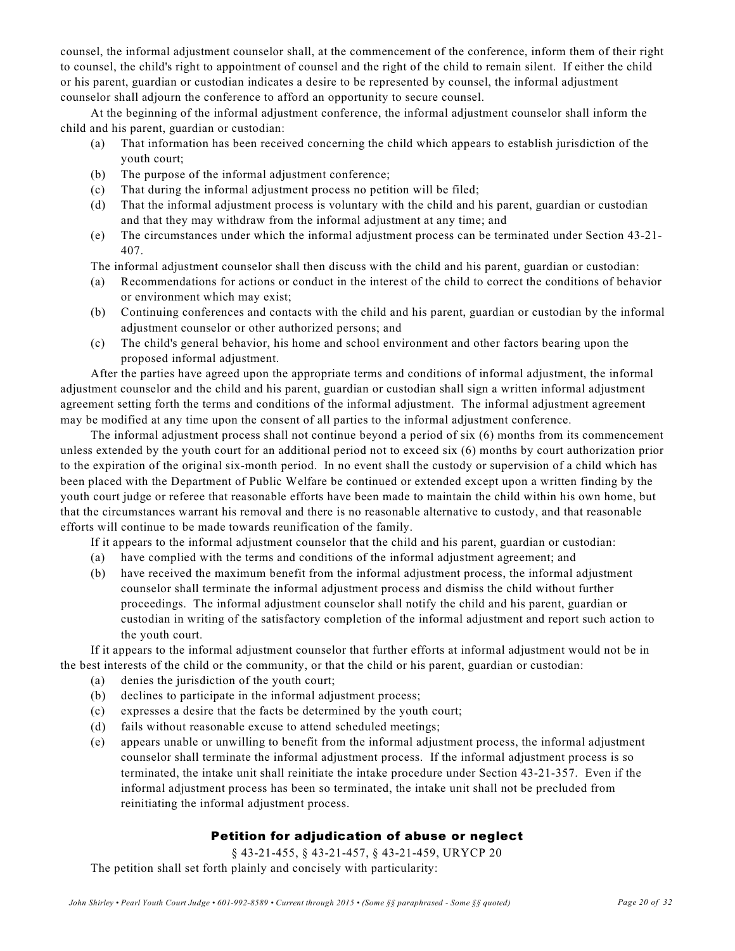counsel, the informal adjustment counselor shall, at the commencement of the conference, inform them of their right to counsel, the child's right to appointment of counsel and the right of the child to remain silent. If either the child or his parent, guardian or custodian indicates a desire to be represented by counsel, the informal adjustment counselor shall adjourn the conference to afford an opportunity to secure counsel.

At the beginning of the informal adjustment conference, the informal adjustment counselor shall inform the child and his parent, guardian or custodian:

- (a) That information has been received concerning the child which appears to establish jurisdiction of the youth court;
- (b) The purpose of the informal adjustment conference;
- (c) That during the informal adjustment process no petition will be filed;
- (d) That the informal adjustment process is voluntary with the child and his parent, guardian or custodian and that they may withdraw from the informal adjustment at any time; and
- (e) The circumstances under which the informal adjustment process can be terminated under Section 43-21- 407.

The informal adjustment counselor shall then discuss with the child and his parent, guardian or custodian:

- (a) Recommendations for actions or conduct in the interest of the child to correct the conditions of behavior or environment which may exist;
- (b) Continuing conferences and contacts with the child and his parent, guardian or custodian by the informal adjustment counselor or other authorized persons; and
- (c) The child's general behavior, his home and school environment and other factors bearing upon the proposed informal adjustment.

After the parties have agreed upon the appropriate terms and conditions of informal adjustment, the informal adjustment counselor and the child and his parent, guardian or custodian shall sign a written informal adjustment agreement setting forth the terms and conditions of the informal adjustment. The informal adjustment agreement may be modified at any time upon the consent of all parties to the informal adjustment conference.

The informal adjustment process shall not continue beyond a period of six (6) months from its commencement unless extended by the youth court for an additional period not to exceed six (6) months by court authorization prior to the expiration of the original six-month period. In no event shall the custody or supervision of a child which has been placed with the Department of Public Welfare be continued or extended except upon a written finding by the youth court judge or referee that reasonable efforts have been made to maintain the child within his own home, but that the circumstances warrant his removal and there is no reasonable alternative to custody, and that reasonable efforts will continue to be made towards reunification of the family.

If it appears to the informal adjustment counselor that the child and his parent, guardian or custodian:

- (a) have complied with the terms and conditions of the informal adjustment agreement; and
- (b) have received the maximum benefit from the informal adjustment process, the informal adjustment counselor shall terminate the informal adjustment process and dismiss the child without further proceedings. The informal adjustment counselor shall notify the child and his parent, guardian or custodian in writing of the satisfactory completion of the informal adjustment and report such action to the youth court.

If it appears to the informal adjustment counselor that further efforts at informal adjustment would not be in the best interests of the child or the community, or that the child or his parent, guardian or custodian:

- (a) denies the jurisdiction of the youth court;
- (b) declines to participate in the informal adjustment process;
- (c) expresses a desire that the facts be determined by the youth court;
- (d) fails without reasonable excuse to attend scheduled meetings;
- (e) appears unable or unwilling to benefit from the informal adjustment process, the informal adjustment counselor shall terminate the informal adjustment process. If the informal adjustment process is so terminated, the intake unit shall reinitiate the intake procedure under Section 43-21-357. Even if the informal adjustment process has been so terminated, the intake unit shall not be precluded from reinitiating the informal adjustment process.

# **Petition for adjudication of abuse or neglect**

§ 43-21-455, § 43-21-457, § 43-21-459, URYCP 20

The petition shall set forth plainly and concisely with particularity: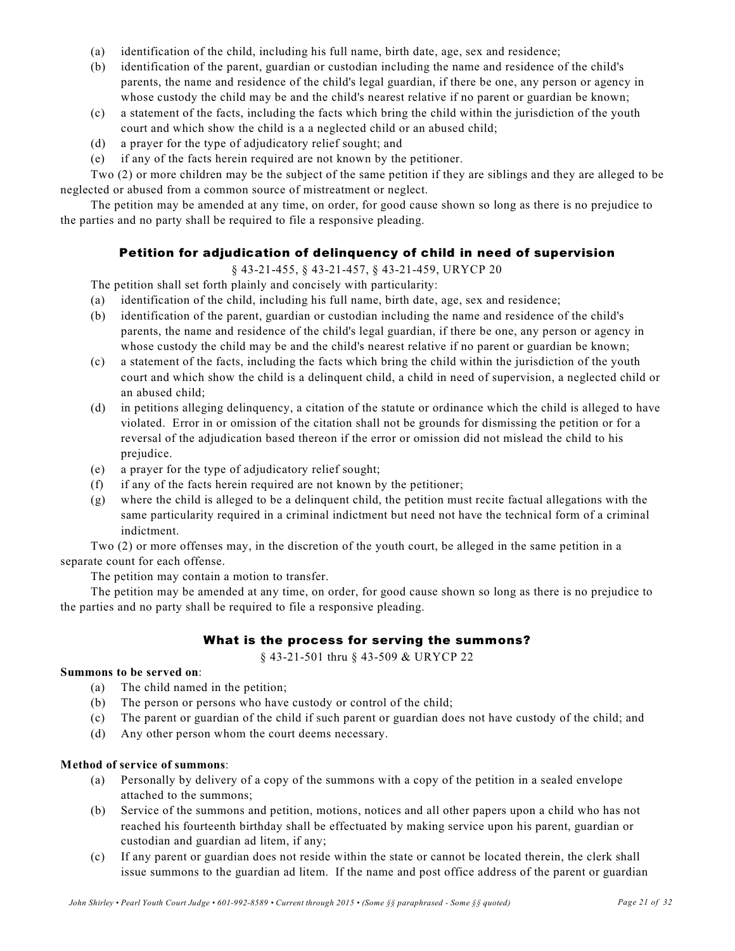- (a) identification of the child, including his full name, birth date, age, sex and residence;
- (b) identification of the parent, guardian or custodian including the name and residence of the child's parents, the name and residence of the child's legal guardian, if there be one, any person or agency in whose custody the child may be and the child's nearest relative if no parent or guardian be known;
- (c) a statement of the facts, including the facts which bring the child within the jurisdiction of the youth court and which show the child is a a neglected child or an abused child;
- (d) a prayer for the type of adjudicatory relief sought; and
- (e) if any of the facts herein required are not known by the petitioner.

Two (2) or more children may be the subject of the same petition if they are siblings and they are alleged to be neglected or abused from a common source of mistreatment or neglect.

The petition may be amended at any time, on order, for good cause shown so long as there is no prejudice to the parties and no party shall be required to file a responsive pleading.

## **Petition for adjudication of delinquency of child in need of supervision**

§ 43-21-455, § 43-21-457, § 43-21-459, URYCP 20

The petition shall set forth plainly and concisely with particularity:

- (a) identification of the child, including his full name, birth date, age, sex and residence;
- (b) identification of the parent, guardian or custodian including the name and residence of the child's parents, the name and residence of the child's legal guardian, if there be one, any person or agency in whose custody the child may be and the child's nearest relative if no parent or guardian be known;
- (c) a statement of the facts, including the facts which bring the child within the jurisdiction of the youth court and which show the child is a delinquent child, a child in need of supervision, a neglected child or an abused child;
- (d) in petitions alleging delinquency, a citation of the statute or ordinance which the child is alleged to have violated. Error in or omission of the citation shall not be grounds for dismissing the petition or for a reversal of the adjudication based thereon if the error or omission did not mislead the child to his prejudice.
- (e) a prayer for the type of adjudicatory relief sought;
- (f) if any of the facts herein required are not known by the petitioner;
- (g) where the child is alleged to be a delinquent child, the petition must recite factual allegations with the same particularity required in a criminal indictment but need not have the technical form of a criminal indictment.

Two (2) or more offenses may, in the discretion of the youth court, be alleged in the same petition in a separate count for each offense.

The petition may contain a motion to transfer.

The petition may be amended at any time, on order, for good cause shown so long as there is no prejudice to the parties and no party shall be required to file a responsive pleading.

#### **What is the process for serving the summons?**

§ 43-21-501 thru § 43-509 & URYCP 22

## **Summons to be served on**:

- (a) The child named in the petition;
- (b) The person or persons who have custody or control of the child;
- (c) The parent or guardian of the child if such parent or guardian does not have custody of the child; and
- (d) Any other person whom the court deems necessary.

#### **Method of service of summons**:

- (a) Personally by delivery of a copy of the summons with a copy of the petition in a sealed envelope attached to the summons;
- (b) Service of the summons and petition, motions, notices and all other papers upon a child who has not reached his fourteenth birthday shall be effectuated by making service upon his parent, guardian or custodian and guardian ad litem, if any;
- (c) If any parent or guardian does not reside within the state or cannot be located therein, the clerk shall issue summons to the guardian ad litem. If the name and post office address of the parent or guardian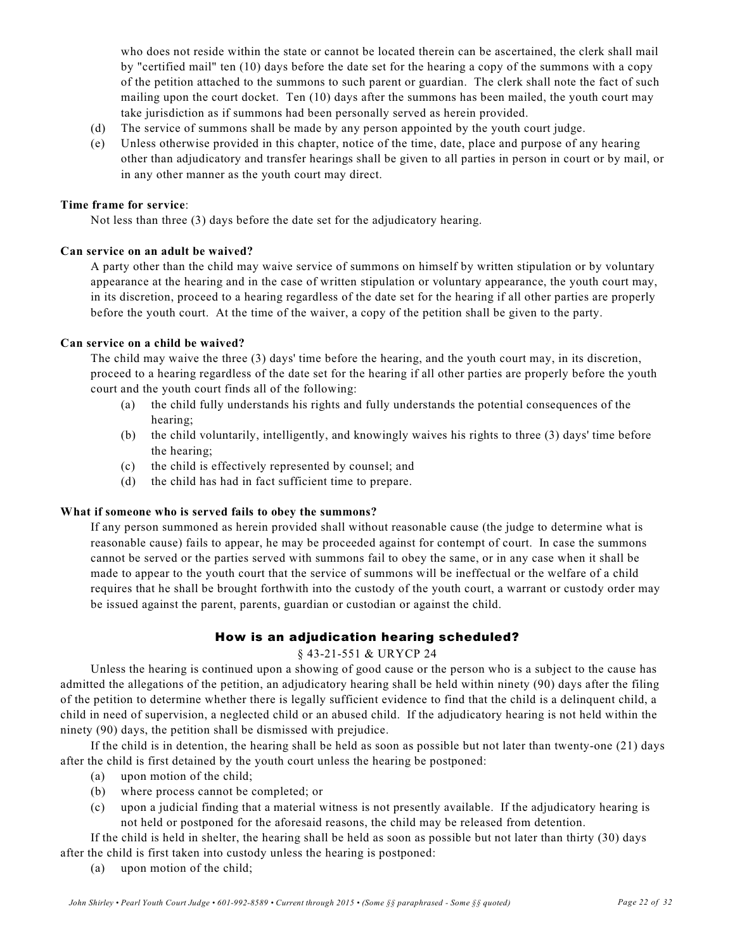who does not reside within the state or cannot be located therein can be ascertained, the clerk shall mail by "certified mail" ten (10) days before the date set for the hearing a copy of the summons with a copy of the petition attached to the summons to such parent or guardian. The clerk shall note the fact of such mailing upon the court docket. Ten (10) days after the summons has been mailed, the youth court may take jurisdiction as if summons had been personally served as herein provided.

- (d) The service of summons shall be made by any person appointed by the youth court judge.
- (e) Unless otherwise provided in this chapter, notice of the time, date, place and purpose of any hearing other than adjudicatory and transfer hearings shall be given to all parties in person in court or by mail, or in any other manner as the youth court may direct.

#### **Time frame for service**:

Not less than three (3) days before the date set for the adjudicatory hearing.

#### **Can service on an adult be waived?**

A party other than the child may waive service of summons on himself by written stipulation or by voluntary appearance at the hearing and in the case of written stipulation or voluntary appearance, the youth court may, in its discretion, proceed to a hearing regardless of the date set for the hearing if all other parties are properly before the youth court. At the time of the waiver, a copy of the petition shall be given to the party.

#### **Can service on a child be waived?**

The child may waive the three (3) days' time before the hearing, and the youth court may, in its discretion, proceed to a hearing regardless of the date set for the hearing if all other parties are properly before the youth court and the youth court finds all of the following:

- (a) the child fully understands his rights and fully understands the potential consequences of the hearing;
- (b) the child voluntarily, intelligently, and knowingly waives his rights to three (3) days' time before the hearing;
- (c) the child is effectively represented by counsel; and
- (d) the child has had in fact sufficient time to prepare.

#### **What if someone who is served fails to obey the summons?**

If any person summoned as herein provided shall without reasonable cause (the judge to determine what is reasonable cause) fails to appear, he may be proceeded against for contempt of court. In case the summons cannot be served or the parties served with summons fail to obey the same, or in any case when it shall be made to appear to the youth court that the service of summons will be ineffectual or the welfare of a child requires that he shall be brought forthwith into the custody of the youth court, a warrant or custody order may be issued against the parent, parents, guardian or custodian or against the child.

#### **How is an adjudication hearing scheduled?**

#### § 43-21-551 & URYCP 24

Unless the hearing is continued upon a showing of good cause or the person who is a subject to the cause has admitted the allegations of the petition, an adjudicatory hearing shall be held within ninety (90) days after the filing of the petition to determine whether there is legally sufficient evidence to find that the child is a delinquent child, a child in need of supervision, a neglected child or an abused child. If the adjudicatory hearing is not held within the ninety (90) days, the petition shall be dismissed with prejudice.

If the child is in detention, the hearing shall be held as soon as possible but not later than twenty-one (21) days after the child is first detained by the youth court unless the hearing be postponed:

- (a) upon motion of the child;
- (b) where process cannot be completed; or
- (c) upon a judicial finding that a material witness is not presently available. If the adjudicatory hearing is not held or postponed for the aforesaid reasons, the child may be released from detention.

If the child is held in shelter, the hearing shall be held as soon as possible but not later than thirty (30) days after the child is first taken into custody unless the hearing is postponed:

(a) upon motion of the child;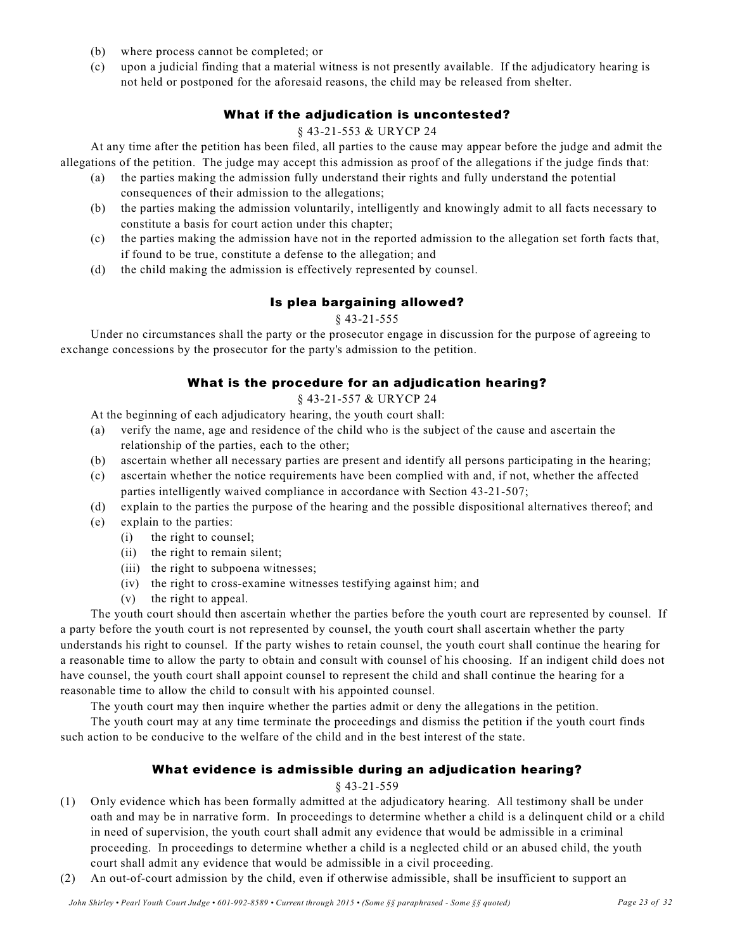- (b) where process cannot be completed; or
- (c) upon a judicial finding that a material witness is not presently available. If the adjudicatory hearing is not held or postponed for the aforesaid reasons, the child may be released from shelter.

## **What if the adjudication is uncontested?**

## § 43-21-553 & URYCP 24

At any time after the petition has been filed, all parties to the cause may appear before the judge and admit the allegations of the petition. The judge may accept this admission as proof of the allegations if the judge finds that:

- (a) the parties making the admission fully understand their rights and fully understand the potential consequences of their admission to the allegations;
- (b) the parties making the admission voluntarily, intelligently and knowingly admit to all facts necessary to constitute a basis for court action under this chapter;
- (c) the parties making the admission have not in the reported admission to the allegation set forth facts that, if found to be true, constitute a defense to the allegation; and
- (d) the child making the admission is effectively represented by counsel.

## **Is plea bargaining allowed?**

## § 43-21-555

Under no circumstances shall the party or the prosecutor engage in discussion for the purpose of agreeing to exchange concessions by the prosecutor for the party's admission to the petition.

## **What is the procedure for an adjudication hearing?**

## § 43-21-557 & URYCP 24

At the beginning of each adjudicatory hearing, the youth court shall:

- (a) verify the name, age and residence of the child who is the subject of the cause and ascertain the relationship of the parties, each to the other;
- (b) ascertain whether all necessary parties are present and identify all persons participating in the hearing;
- (c) ascertain whether the notice requirements have been complied with and, if not, whether the affected parties intelligently waived compliance in accordance with Section 43-21-507;
- (d) explain to the parties the purpose of the hearing and the possible dispositional alternatives thereof; and
- (e) explain to the parties:
	- (i) the right to counsel;
	- (ii) the right to remain silent;
	- (iii) the right to subpoena witnesses;
	- (iv) the right to cross-examine witnesses testifying against him; and
	- (v) the right to appeal.

The youth court should then ascertain whether the parties before the youth court are represented by counsel. If a party before the youth court is not represented by counsel, the youth court shall ascertain whether the party understands his right to counsel. If the party wishes to retain counsel, the youth court shall continue the hearing for a reasonable time to allow the party to obtain and consult with counsel of his choosing. If an indigent child does not have counsel, the youth court shall appoint counsel to represent the child and shall continue the hearing for a reasonable time to allow the child to consult with his appointed counsel.

The youth court may then inquire whether the parties admit or deny the allegations in the petition.

The youth court may at any time terminate the proceedings and dismiss the petition if the youth court finds such action to be conducive to the welfare of the child and in the best interest of the state.

# **What evidence is admissible during an adjudication hearing?**

#### § 43-21-559

- (1) Only evidence which has been formally admitted at the adjudicatory hearing. All testimony shall be under oath and may be in narrative form. In proceedings to determine whether a child is a delinquent child or a child in need of supervision, the youth court shall admit any evidence that would be admissible in a criminal proceeding. In proceedings to determine whether a child is a neglected child or an abused child, the youth court shall admit any evidence that would be admissible in a civil proceeding.
- (2) An out-of-court admission by the child, even if otherwise admissible, shall be insufficient to support an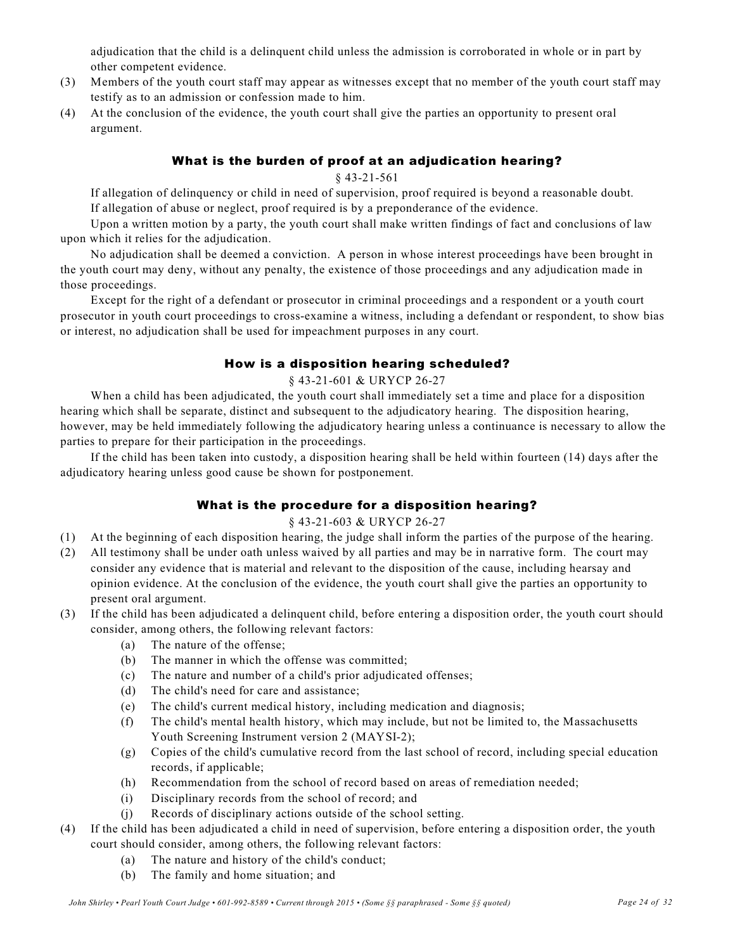adjudication that the child is a delinquent child unless the admission is corroborated in whole or in part by other competent evidence.

- (3) Members of the youth court staff may appear as witnesses except that no member of the youth court staff may testify as to an admission or confession made to him.
- (4) At the conclusion of the evidence, the youth court shall give the parties an opportunity to present oral argument.

## **What is the burden of proof at an adjudication hearing?**

§ 43-21-561

If allegation of delinquency or child in need of supervision, proof required is beyond a reasonable doubt. If allegation of abuse or neglect, proof required is by a preponderance of the evidence.

Upon a written motion by a party, the youth court shall make written findings of fact and conclusions of law upon which it relies for the adjudication.

No adjudication shall be deemed a conviction. A person in whose interest proceedings have been brought in the youth court may deny, without any penalty, the existence of those proceedings and any adjudication made in those proceedings.

Except for the right of a defendant or prosecutor in criminal proceedings and a respondent or a youth court prosecutor in youth court proceedings to cross-examine a witness, including a defendant or respondent, to show bias or interest, no adjudication shall be used for impeachment purposes in any court.

# **How is a disposition hearing scheduled?**

## § 43-21-601 & URYCP 26-27

When a child has been adjudicated, the youth court shall immediately set a time and place for a disposition hearing which shall be separate, distinct and subsequent to the adjudicatory hearing. The disposition hearing, however, may be held immediately following the adjudicatory hearing unless a continuance is necessary to allow the parties to prepare for their participation in the proceedings.

If the child has been taken into custody, a disposition hearing shall be held within fourteen (14) days after the adjudicatory hearing unless good cause be shown for postponement.

# **What is the procedure for a disposition hearing?**

## § 43-21-603 & URYCP 26-27

- (1) At the beginning of each disposition hearing, the judge shall inform the parties of the purpose of the hearing.
- (2) All testimony shall be under oath unless waived by all parties and may be in narrative form. The court may consider any evidence that is material and relevant to the disposition of the cause, including hearsay and opinion evidence. At the conclusion of the evidence, the youth court shall give the parties an opportunity to present oral argument.
- (3) If the child has been adjudicated a delinquent child, before entering a disposition order, the youth court should consider, among others, the following relevant factors:
	- (a) The nature of the offense;
	- (b) The manner in which the offense was committed;
	- (c) The nature and number of a child's prior adjudicated offenses;
	- (d) The child's need for care and assistance;
	- (e) The child's current medical history, including medication and diagnosis;
	- (f) The child's mental health history, which may include, but not be limited to, the Massachusetts Youth Screening Instrument version 2 (MAYSI-2);
	- (g) Copies of the child's cumulative record from the last school of record, including special education records, if applicable;
	- (h) Recommendation from the school of record based on areas of remediation needed;
	- (i) Disciplinary records from the school of record; and
	- (j) Records of disciplinary actions outside of the school setting.
- (4) If the child has been adjudicated a child in need of supervision, before entering a disposition order, the youth court should consider, among others, the following relevant factors:
	- (a) The nature and history of the child's conduct;
	- (b) The family and home situation; and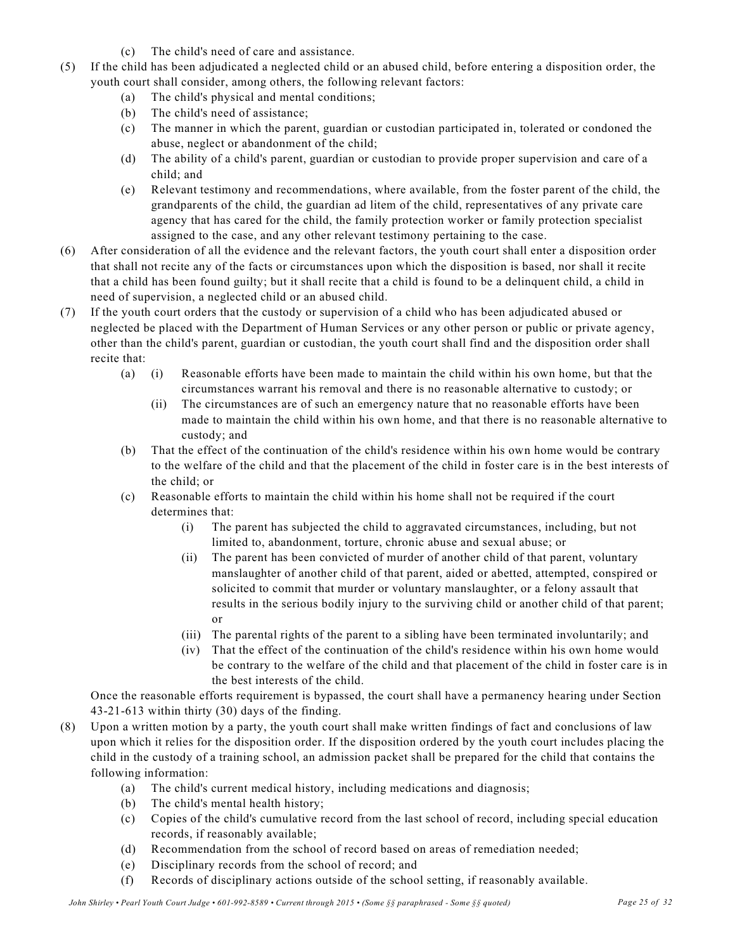- (c) The child's need of care and assistance.
- (5) If the child has been adjudicated a neglected child or an abused child, before entering a disposition order, the youth court shall consider, among others, the following relevant factors:
	- (a) The child's physical and mental conditions;
	- (b) The child's need of assistance;
	- (c) The manner in which the parent, guardian or custodian participated in, tolerated or condoned the abuse, neglect or abandonment of the child;
	- (d) The ability of a child's parent, guardian or custodian to provide proper supervision and care of a child; and
	- (e) Relevant testimony and recommendations, where available, from the foster parent of the child, the grandparents of the child, the guardian ad litem of the child, representatives of any private care agency that has cared for the child, the family protection worker or family protection specialist assigned to the case, and any other relevant testimony pertaining to the case.
- (6) After consideration of all the evidence and the relevant factors, the youth court shall enter a disposition order that shall not recite any of the facts or circumstances upon which the disposition is based, nor shall it recite that a child has been found guilty; but it shall recite that a child is found to be a delinquent child, a child in need of supervision, a neglected child or an abused child.
- (7) If the youth court orders that the custody or supervision of a child who has been adjudicated abused or neglected be placed with the Department of Human Services or any other person or public or private agency, other than the child's parent, guardian or custodian, the youth court shall find and the disposition order shall recite that:
	- (a) (i) Reasonable efforts have been made to maintain the child within his own home, but that the circumstances warrant his removal and there is no reasonable alternative to custody; or
		- (ii) The circumstances are of such an emergency nature that no reasonable efforts have been made to maintain the child within his own home, and that there is no reasonable alternative to custody; and
	- (b) That the effect of the continuation of the child's residence within his own home would be contrary to the welfare of the child and that the placement of the child in foster care is in the best interests of the child; or
	- (c) Reasonable efforts to maintain the child within his home shall not be required if the court determines that:
		- (i) The parent has subjected the child to aggravated circumstances, including, but not limited to, abandonment, torture, chronic abuse and sexual abuse; or
		- (ii) The parent has been convicted of murder of another child of that parent, voluntary manslaughter of another child of that parent, aided or abetted, attempted, conspired or solicited to commit that murder or voluntary manslaughter, or a felony assault that results in the serious bodily injury to the surviving child or another child of that parent; or
		- (iii) The parental rights of the parent to a sibling have been terminated involuntarily; and
		- (iv) That the effect of the continuation of the child's residence within his own home would be contrary to the welfare of the child and that placement of the child in foster care is in the best interests of the child.

Once the reasonable efforts requirement is bypassed, the court shall have a permanency hearing under Section 43-21-613 within thirty (30) days of the finding.

- (8) Upon a written motion by a party, the youth court shall make written findings of fact and conclusions of law upon which it relies for the disposition order. If the disposition ordered by the youth court includes placing the child in the custody of a training school, an admission packet shall be prepared for the child that contains the following information:
	- (a) The child's current medical history, including medications and diagnosis;
	- (b) The child's mental health history;
	- (c) Copies of the child's cumulative record from the last school of record, including special education records, if reasonably available;
	- (d) Recommendation from the school of record based on areas of remediation needed;
	- (e) Disciplinary records from the school of record; and
	- (f) Records of disciplinary actions outside of the school setting, if reasonably available.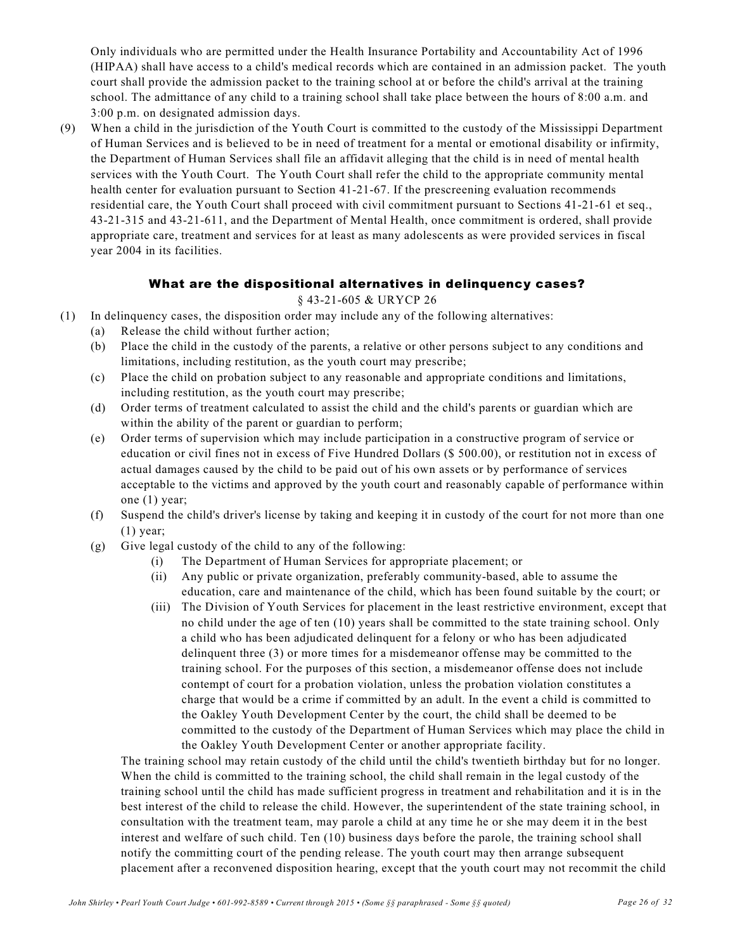Only individuals who are permitted under the Health Insurance Portability and Accountability Act of 1996 (HIPAA) shall have access to a child's medical records which are contained in an admission packet. The youth court shall provide the admission packet to the training school at or before the child's arrival at the training school. The admittance of any child to a training school shall take place between the hours of 8:00 a.m. and 3:00 p.m. on designated admission days.

(9) When a child in the jurisdiction of the Youth Court is committed to the custody of the Mississippi Department of Human Services and is believed to be in need of treatment for a mental or emotional disability or infirmity, the Department of Human Services shall file an affidavit alleging that the child is in need of mental health services with the Youth Court. The Youth Court shall refer the child to the appropriate community mental health center for evaluation pursuant to Section 41-21-67. If the prescreening evaluation recommends residential care, the Youth Court shall proceed with civil commitment pursuant to Sections 41-21-61 et seq., 43-21-315 and 43-21-611, and the Department of Mental Health, once commitment is ordered, shall provide appropriate care, treatment and services for at least as many adolescents as were provided services in fiscal year 2004 in its facilities.

## **What are the dispositional alternatives in delinquency cases?**

## § 43-21-605 & URYCP 26

- (1) In delinquency cases, the disposition order may include any of the following alternatives:
	- (a) Release the child without further action;
	- (b) Place the child in the custody of the parents, a relative or other persons subject to any conditions and limitations, including restitution, as the youth court may prescribe;
	- (c) Place the child on probation subject to any reasonable and appropriate conditions and limitations, including restitution, as the youth court may prescribe;
	- (d) Order terms of treatment calculated to assist the child and the child's parents or guardian which are within the ability of the parent or guardian to perform;
	- (e) Order terms of supervision which may include participation in a constructive program of service or education or civil fines not in excess of Five Hundred Dollars (\$ 500.00), or restitution not in excess of actual damages caused by the child to be paid out of his own assets or by performance of services acceptable to the victims and approved by the youth court and reasonably capable of performance within one (1) year;
	- (f) Suspend the child's driver's license by taking and keeping it in custody of the court for not more than one (1) year;
	- (g) Give legal custody of the child to any of the following:
		- (i) The Department of Human Services for appropriate placement; or
		- (ii) Any public or private organization, preferably community-based, able to assume the education, care and maintenance of the child, which has been found suitable by the court; or
		- (iii) The Division of Youth Services for placement in the least restrictive environment, except that no child under the age of ten (10) years shall be committed to the state training school. Only a child who has been adjudicated delinquent for a felony or who has been adjudicated delinquent three (3) or more times for a misdemeanor offense may be committed to the training school. For the purposes of this section, a misdemeanor offense does not include contempt of court for a probation violation, unless the probation violation constitutes a charge that would be a crime if committed by an adult. In the event a child is committed to the Oakley Youth Development Center by the court, the child shall be deemed to be committed to the custody of the Department of Human Services which may place the child in the Oakley Youth Development Center or another appropriate facility.

The training school may retain custody of the child until the child's twentieth birthday but for no longer. When the child is committed to the training school, the child shall remain in the legal custody of the training school until the child has made sufficient progress in treatment and rehabilitation and it is in the best interest of the child to release the child. However, the superintendent of the state training school, in consultation with the treatment team, may parole a child at any time he or she may deem it in the best interest and welfare of such child. Ten (10) business days before the parole, the training school shall notify the committing court of the pending release. The youth court may then arrange subsequent placement after a reconvened disposition hearing, except that the youth court may not recommit the child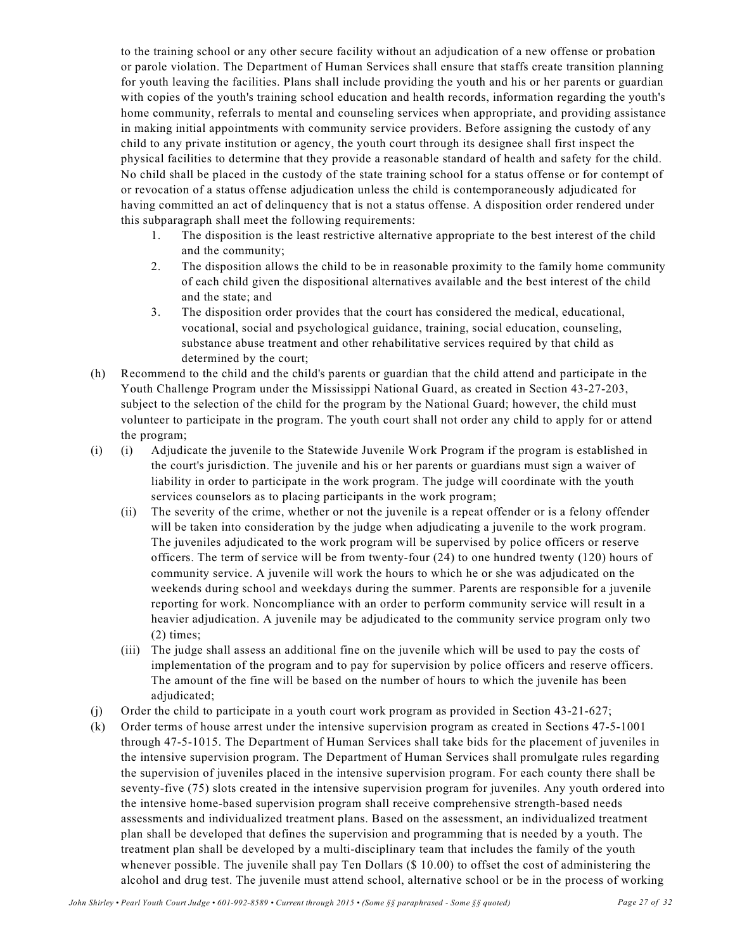to the training school or any other secure facility without an adjudication of a new offense or probation or parole violation. The Department of Human Services shall ensure that staffs create transition planning for youth leaving the facilities. Plans shall include providing the youth and his or her parents or guardian with copies of the youth's training school education and health records, information regarding the youth's home community, referrals to mental and counseling services when appropriate, and providing assistance in making initial appointments with community service providers. Before assigning the custody of any child to any private institution or agency, the youth court through its designee shall first inspect the physical facilities to determine that they provide a reasonable standard of health and safety for the child. No child shall be placed in the custody of the state training school for a status offense or for contempt of or revocation of a status offense adjudication unless the child is contemporaneously adjudicated for having committed an act of delinquency that is not a status offense. A disposition order rendered under this subparagraph shall meet the following requirements:

- 1. The disposition is the least restrictive alternative appropriate to the best interest of the child and the community;
- 2. The disposition allows the child to be in reasonable proximity to the family home community of each child given the dispositional alternatives available and the best interest of the child and the state; and
- 3. The disposition order provides that the court has considered the medical, educational, vocational, social and psychological guidance, training, social education, counseling, substance abuse treatment and other rehabilitative services required by that child as determined by the court;
- (h) Recommend to the child and the child's parents or guardian that the child attend and participate in the Youth Challenge Program under the Mississippi National Guard, as created in Section 43-27-203, subject to the selection of the child for the program by the National Guard; however, the child must volunteer to participate in the program. The youth court shall not order any child to apply for or attend the program;
- (i) (i) Adjudicate the juvenile to the Statewide Juvenile Work Program if the program is established in the court's jurisdiction. The juvenile and his or her parents or guardians must sign a waiver of liability in order to participate in the work program. The judge will coordinate with the youth services counselors as to placing participants in the work program;
	- (ii) The severity of the crime, whether or not the juvenile is a repeat offender or is a felony offender will be taken into consideration by the judge when adjudicating a juvenile to the work program. The juveniles adjudicated to the work program will be supervised by police officers or reserve officers. The term of service will be from twenty-four (24) to one hundred twenty (120) hours of community service. A juvenile will work the hours to which he or she was adjudicated on the weekends during school and weekdays during the summer. Parents are responsible for a juvenile reporting for work. Noncompliance with an order to perform community service will result in a heavier adjudication. A juvenile may be adjudicated to the community service program only two (2) times;
	- (iii) The judge shall assess an additional fine on the juvenile which will be used to pay the costs of implementation of the program and to pay for supervision by police officers and reserve officers. The amount of the fine will be based on the number of hours to which the juvenile has been adjudicated;
- (j) Order the child to participate in a youth court work program as provided in Section 43-21-627;
- (k) Order terms of house arrest under the intensive supervision program as created in Sections 47-5-1001 through 47-5-1015. The Department of Human Services shall take bids for the placement of juveniles in the intensive supervision program. The Department of Human Services shall promulgate rules regarding the supervision of juveniles placed in the intensive supervision program. For each county there shall be seventy-five (75) slots created in the intensive supervision program for juveniles. Any youth ordered into the intensive home-based supervision program shall receive comprehensive strength-based needs assessments and individualized treatment plans. Based on the assessment, an individualized treatment plan shall be developed that defines the supervision and programming that is needed by a youth. The treatment plan shall be developed by a multi-disciplinary team that includes the family of the youth whenever possible. The juvenile shall pay Ten Dollars (\$ 10.00) to offset the cost of administering the alcohol and drug test. The juvenile must attend school, alternative school or be in the process of working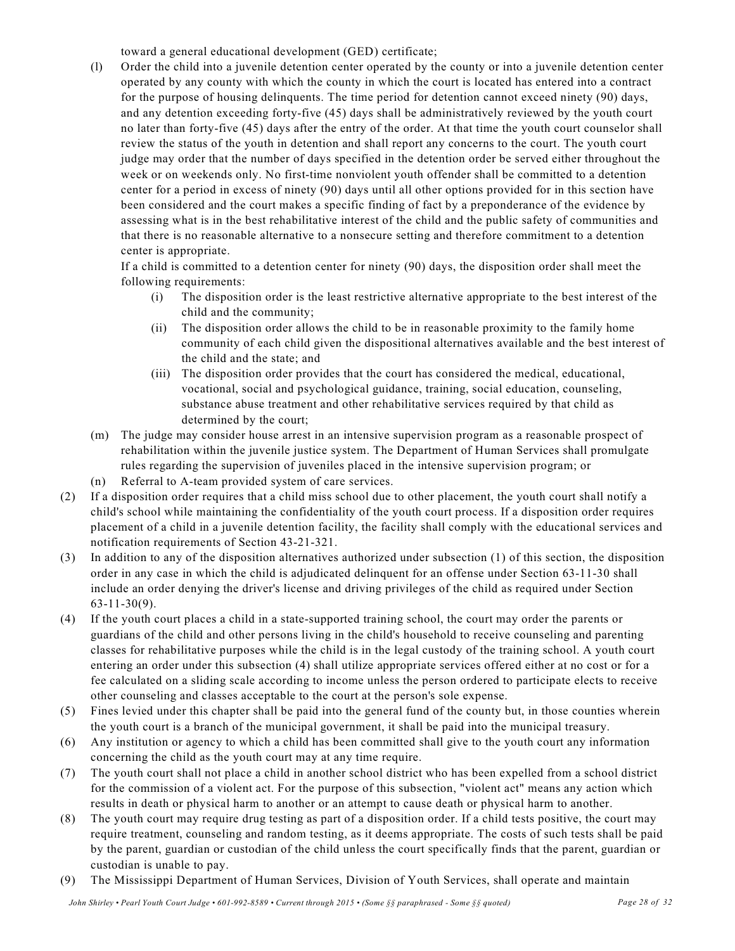toward a general educational development (GED) certificate;

(l) Order the child into a juvenile detention center operated by the county or into a juvenile detention center operated by any county with which the county in which the court is located has entered into a contract for the purpose of housing delinquents. The time period for detention cannot exceed ninety (90) days, and any detention exceeding forty-five (45) days shall be administratively reviewed by the youth court no later than forty-five (45) days after the entry of the order. At that time the youth court counselor shall review the status of the youth in detention and shall report any concerns to the court. The youth court judge may order that the number of days specified in the detention order be served either throughout the week or on weekends only. No first-time nonviolent youth offender shall be committed to a detention center for a period in excess of ninety (90) days until all other options provided for in this section have been considered and the court makes a specific finding of fact by a preponderance of the evidence by assessing what is in the best rehabilitative interest of the child and the public safety of communities and that there is no reasonable alternative to a nonsecure setting and therefore commitment to a detention center is appropriate.

If a child is committed to a detention center for ninety (90) days, the disposition order shall meet the following requirements:

- (i) The disposition order is the least restrictive alternative appropriate to the best interest of the child and the community;
- (ii) The disposition order allows the child to be in reasonable proximity to the family home community of each child given the dispositional alternatives available and the best interest of the child and the state; and
- (iii) The disposition order provides that the court has considered the medical, educational, vocational, social and psychological guidance, training, social education, counseling, substance abuse treatment and other rehabilitative services required by that child as determined by the court;
- (m) The judge may consider house arrest in an intensive supervision program as a reasonable prospect of rehabilitation within the juvenile justice system. The Department of Human Services shall promulgate rules regarding the supervision of juveniles placed in the intensive supervision program; or
- (n) Referral to A-team provided system of care services.
- (2) If a disposition order requires that a child miss school due to other placement, the youth court shall notify a child's school while maintaining the confidentiality of the youth court process. If a disposition order requires placement of a child in a juvenile detention facility, the facility shall comply with the educational services and notification requirements of Section 43-21-321.
- (3) In addition to any of the disposition alternatives authorized under subsection (1) of this section, the disposition order in any case in which the child is adjudicated delinquent for an offense under Section 63-11-30 shall include an order denying the driver's license and driving privileges of the child as required under Section 63-11-30(9).
- (4) If the youth court places a child in a state-supported training school, the court may order the parents or guardians of the child and other persons living in the child's household to receive counseling and parenting classes for rehabilitative purposes while the child is in the legal custody of the training school. A youth court entering an order under this subsection (4) shall utilize appropriate services offered either at no cost or for a fee calculated on a sliding scale according to income unless the person ordered to participate elects to receive other counseling and classes acceptable to the court at the person's sole expense.
- (5) Fines levied under this chapter shall be paid into the general fund of the county but, in those counties wherein the youth court is a branch of the municipal government, it shall be paid into the municipal treasury.
- (6) Any institution or agency to which a child has been committed shall give to the youth court any information concerning the child as the youth court may at any time require.
- (7) The youth court shall not place a child in another school district who has been expelled from a school district for the commission of a violent act. For the purpose of this subsection, "violent act" means any action which results in death or physical harm to another or an attempt to cause death or physical harm to another.
- (8) The youth court may require drug testing as part of a disposition order. If a child tests positive, the court may require treatment, counseling and random testing, as it deems appropriate. The costs of such tests shall be paid by the parent, guardian or custodian of the child unless the court specifically finds that the parent, guardian or custodian is unable to pay.
- (9) The Mississippi Department of Human Services, Division of Youth Services, shall operate and maintain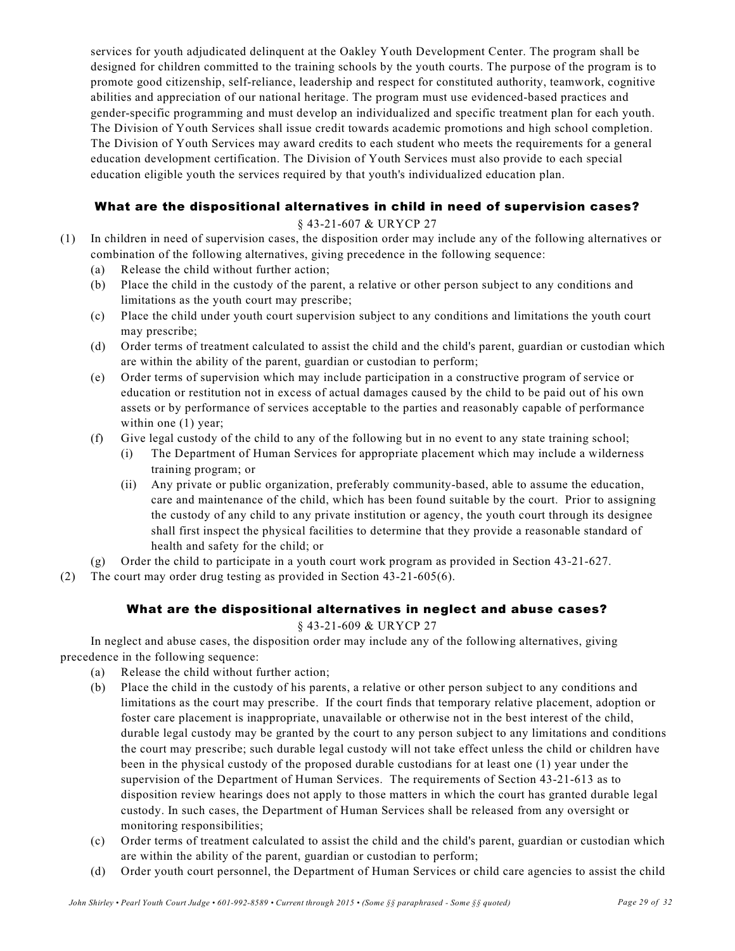services for youth adjudicated delinquent at the Oakley Youth Development Center. The program shall be designed for children committed to the training schools by the youth courts. The purpose of the program is to promote good citizenship, self-reliance, leadership and respect for constituted authority, teamwork, cognitive abilities and appreciation of our national heritage. The program must use evidenced-based practices and gender-specific programming and must develop an individualized and specific treatment plan for each youth. The Division of Youth Services shall issue credit towards academic promotions and high school completion. The Division of Youth Services may award credits to each student who meets the requirements for a general education development certification. The Division of Youth Services must also provide to each special education eligible youth the services required by that youth's individualized education plan.

## What are the dispositional alternatives in child in need of supervision cases?

§ 43-21-607 & URYCP 27

- (1) In children in need of supervision cases, the disposition order may include any of the following alternatives or combination of the following alternatives, giving precedence in the following sequence:
	- (a) Release the child without further action;
	- (b) Place the child in the custody of the parent, a relative or other person subject to any conditions and limitations as the youth court may prescribe;
	- (c) Place the child under youth court supervision subject to any conditions and limitations the youth court may prescribe;
	- (d) Order terms of treatment calculated to assist the child and the child's parent, guardian or custodian which are within the ability of the parent, guardian or custodian to perform;
	- (e) Order terms of supervision which may include participation in a constructive program of service or education or restitution not in excess of actual damages caused by the child to be paid out of his own assets or by performance of services acceptable to the parties and reasonably capable of performance within one  $(1)$  year;
	- (f) Give legal custody of the child to any of the following but in no event to any state training school;
		- (i) The Department of Human Services for appropriate placement which may include a wilderness training program; or
		- (ii) Any private or public organization, preferably community-based, able to assume the education, care and maintenance of the child, which has been found suitable by the court. Prior to assigning the custody of any child to any private institution or agency, the youth court through its designee shall first inspect the physical facilities to determine that they provide a reasonable standard of health and safety for the child; or
	- (g) Order the child to participate in a youth court work program as provided in Section 43-21-627.
- (2) The court may order drug testing as provided in Section 43-21-605(6).

## **What are the dispositional alternatives in neglect and abuse cases?**

#### § 43-21-609 & URYCP 27

In neglect and abuse cases, the disposition order may include any of the following alternatives, giving precedence in the following sequence:

- (a) Release the child without further action;
- (b) Place the child in the custody of his parents, a relative or other person subject to any conditions and limitations as the court may prescribe. If the court finds that temporary relative placement, adoption or foster care placement is inappropriate, unavailable or otherwise not in the best interest of the child, durable legal custody may be granted by the court to any person subject to any limitations and conditions the court may prescribe; such durable legal custody will not take effect unless the child or children have been in the physical custody of the proposed durable custodians for at least one (1) year under the supervision of the Department of Human Services. The requirements of Section 43-21-613 as to disposition review hearings does not apply to those matters in which the court has granted durable legal custody. In such cases, the Department of Human Services shall be released from any oversight or monitoring responsibilities;
- (c) Order terms of treatment calculated to assist the child and the child's parent, guardian or custodian which are within the ability of the parent, guardian or custodian to perform;
- (d) Order youth court personnel, the Department of Human Services or child care agencies to assist the child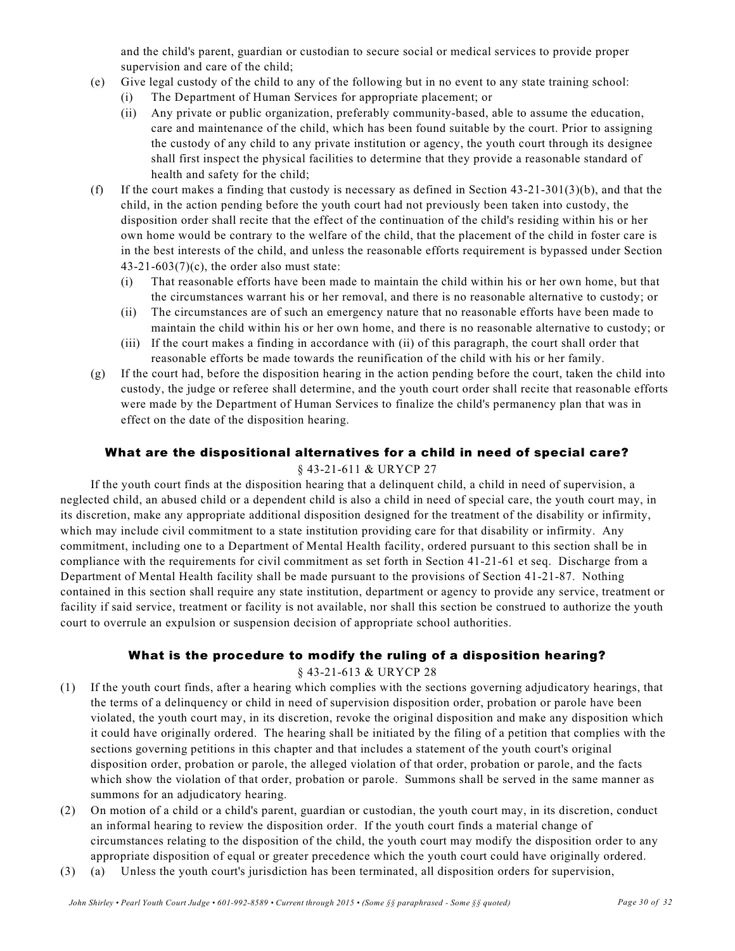and the child's parent, guardian or custodian to secure social or medical services to provide proper supervision and care of the child;

- (e) Give legal custody of the child to any of the following but in no event to any state training school:
	- (i) The Department of Human Services for appropriate placement; or
	- (ii) Any private or public organization, preferably community-based, able to assume the education, care and maintenance of the child, which has been found suitable by the court. Prior to assigning the custody of any child to any private institution or agency, the youth court through its designee shall first inspect the physical facilities to determine that they provide a reasonable standard of health and safety for the child;
- (f) If the court makes a finding that custody is necessary as defined in Section  $43-21-301(3)(b)$ , and that the child, in the action pending before the youth court had not previously been taken into custody, the disposition order shall recite that the effect of the continuation of the child's residing within his or her own home would be contrary to the welfare of the child, that the placement of the child in foster care is in the best interests of the child, and unless the reasonable efforts requirement is bypassed under Section 43-21-603 $(7)(c)$ , the order also must state:
	- (i) That reasonable efforts have been made to maintain the child within his or her own home, but that the circumstances warrant his or her removal, and there is no reasonable alternative to custody; or
	- (ii) The circumstances are of such an emergency nature that no reasonable efforts have been made to maintain the child within his or her own home, and there is no reasonable alternative to custody; or
	- (iii) If the court makes a finding in accordance with (ii) of this paragraph, the court shall order that reasonable efforts be made towards the reunification of the child with his or her family.
- (g) If the court had, before the disposition hearing in the action pending before the court, taken the child into custody, the judge or referee shall determine, and the youth court order shall recite that reasonable efforts were made by the Department of Human Services to finalize the child's permanency plan that was in effect on the date of the disposition hearing.

## **What are the dispositional alternatives for a child in need of special care?**

#### § 43-21-611 & URYCP 27

If the youth court finds at the disposition hearing that a delinquent child, a child in need of supervision, a neglected child, an abused child or a dependent child is also a child in need of special care, the youth court may, in its discretion, make any appropriate additional disposition designed for the treatment of the disability or infirmity, which may include civil commitment to a state institution providing care for that disability or infirmity. Any commitment, including one to a Department of Mental Health facility, ordered pursuant to this section shall be in compliance with the requirements for civil commitment as set forth in Section 41-21-61 et seq. Discharge from a Department of Mental Health facility shall be made pursuant to the provisions of Section 41-21-87. Nothing contained in this section shall require any state institution, department or agency to provide any service, treatment or facility if said service, treatment or facility is not available, nor shall this section be construed to authorize the youth court to overrule an expulsion or suspension decision of appropriate school authorities.

## **What is the procedure to modify the ruling of a disposition hearing?**

§ 43-21-613 & URYCP 28

- (1) If the youth court finds, after a hearing which complies with the sections governing adjudicatory hearings, that the terms of a delinquency or child in need of supervision disposition order, probation or parole have been violated, the youth court may, in its discretion, revoke the original disposition and make any disposition which it could have originally ordered. The hearing shall be initiated by the filing of a petition that complies with the sections governing petitions in this chapter and that includes a statement of the youth court's original disposition order, probation or parole, the alleged violation of that order, probation or parole, and the facts which show the violation of that order, probation or parole. Summons shall be served in the same manner as summons for an adjudicatory hearing.
- (2) On motion of a child or a child's parent, guardian or custodian, the youth court may, in its discretion, conduct an informal hearing to review the disposition order. If the youth court finds a material change of circumstances relating to the disposition of the child, the youth court may modify the disposition order to any appropriate disposition of equal or greater precedence which the youth court could have originally ordered.
- (3) (a) Unless the youth court's jurisdiction has been terminated, all disposition orders for supervision,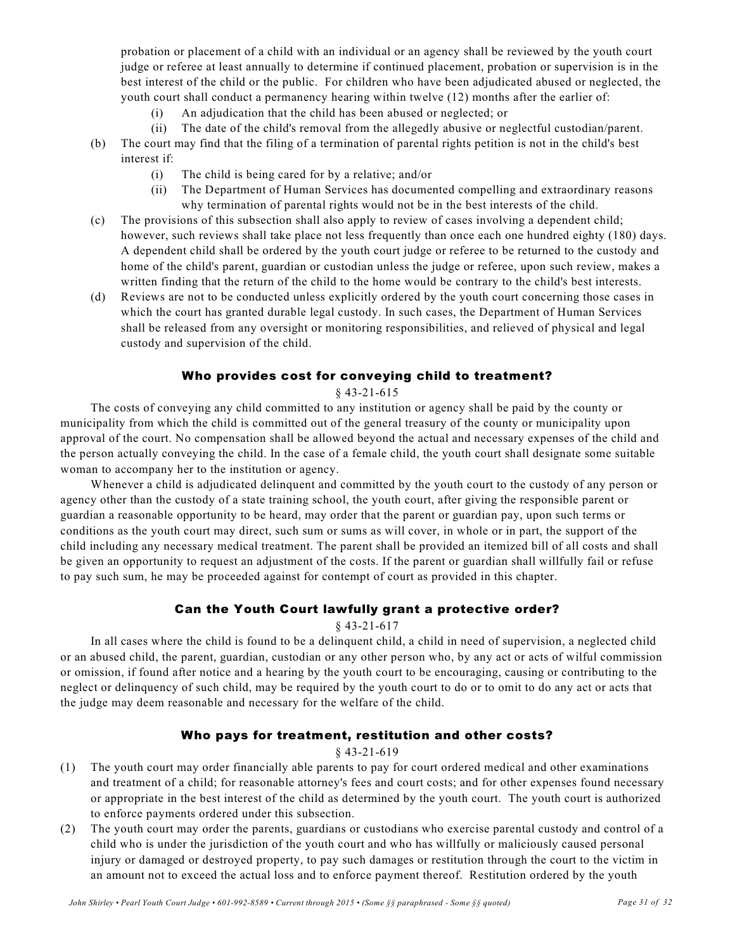probation or placement of a child with an individual or an agency shall be reviewed by the youth court judge or referee at least annually to determine if continued placement, probation or supervision is in the best interest of the child or the public. For children who have been adjudicated abused or neglected, the youth court shall conduct a permanency hearing within twelve (12) months after the earlier of:

- (i) An adjudication that the child has been abused or neglected; or
- (ii) The date of the child's removal from the allegedly abusive or neglectful custodian/parent.
- (b) The court may find that the filing of a termination of parental rights petition is not in the child's best interest if:
	- (i) The child is being cared for by a relative; and/or
	- (ii) The Department of Human Services has documented compelling and extraordinary reasons why termination of parental rights would not be in the best interests of the child.
- (c) The provisions of this subsection shall also apply to review of cases involving a dependent child; however, such reviews shall take place not less frequently than once each one hundred eighty (180) days. A dependent child shall be ordered by the youth court judge or referee to be returned to the custody and home of the child's parent, guardian or custodian unless the judge or referee, upon such review, makes a written finding that the return of the child to the home would be contrary to the child's best interests.
- (d) Reviews are not to be conducted unless explicitly ordered by the youth court concerning those cases in which the court has granted durable legal custody. In such cases, the Department of Human Services shall be released from any oversight or monitoring responsibilities, and relieved of physical and legal custody and supervision of the child.

## **Who provides cost for conveying child to treatment?**

#### § 43-21-615

The costs of conveying any child committed to any institution or agency shall be paid by the county or municipality from which the child is committed out of the general treasury of the county or municipality upon approval of the court. No compensation shall be allowed beyond the actual and necessary expenses of the child and the person actually conveying the child. In the case of a female child, the youth court shall designate some suitable woman to accompany her to the institution or agency.

Whenever a child is adjudicated delinquent and committed by the youth court to the custody of any person or agency other than the custody of a state training school, the youth court, after giving the responsible parent or guardian a reasonable opportunity to be heard, may order that the parent or guardian pay, upon such terms or conditions as the youth court may direct, such sum or sums as will cover, in whole or in part, the support of the child including any necessary medical treatment. The parent shall be provided an itemized bill of all costs and shall be given an opportunity to request an adjustment of the costs. If the parent or guardian shall willfully fail or refuse to pay such sum, he may be proceeded against for contempt of court as provided in this chapter.

#### **Can the Youth Court lawfully grant a protective order?**

#### § 43-21-617

In all cases where the child is found to be a delinquent child, a child in need of supervision, a neglected child or an abused child, the parent, guardian, custodian or any other person who, by any act or acts of wilful commission or omission, if found after notice and a hearing by the youth court to be encouraging, causing or contributing to the neglect or delinquency of such child, may be required by the youth court to do or to omit to do any act or acts that the judge may deem reasonable and necessary for the welfare of the child.

#### **Who pays for treatment, restitution and other costs?**

#### § 43-21-619

- (1) The youth court may order financially able parents to pay for court ordered medical and other examinations and treatment of a child; for reasonable attorney's fees and court costs; and for other expenses found necessary or appropriate in the best interest of the child as determined by the youth court. The youth court is authorized to enforce payments ordered under this subsection.
- (2) The youth court may order the parents, guardians or custodians who exercise parental custody and control of a child who is under the jurisdiction of the youth court and who has willfully or maliciously caused personal injury or damaged or destroyed property, to pay such damages or restitution through the court to the victim in an amount not to exceed the actual loss and to enforce payment thereof. Restitution ordered by the youth